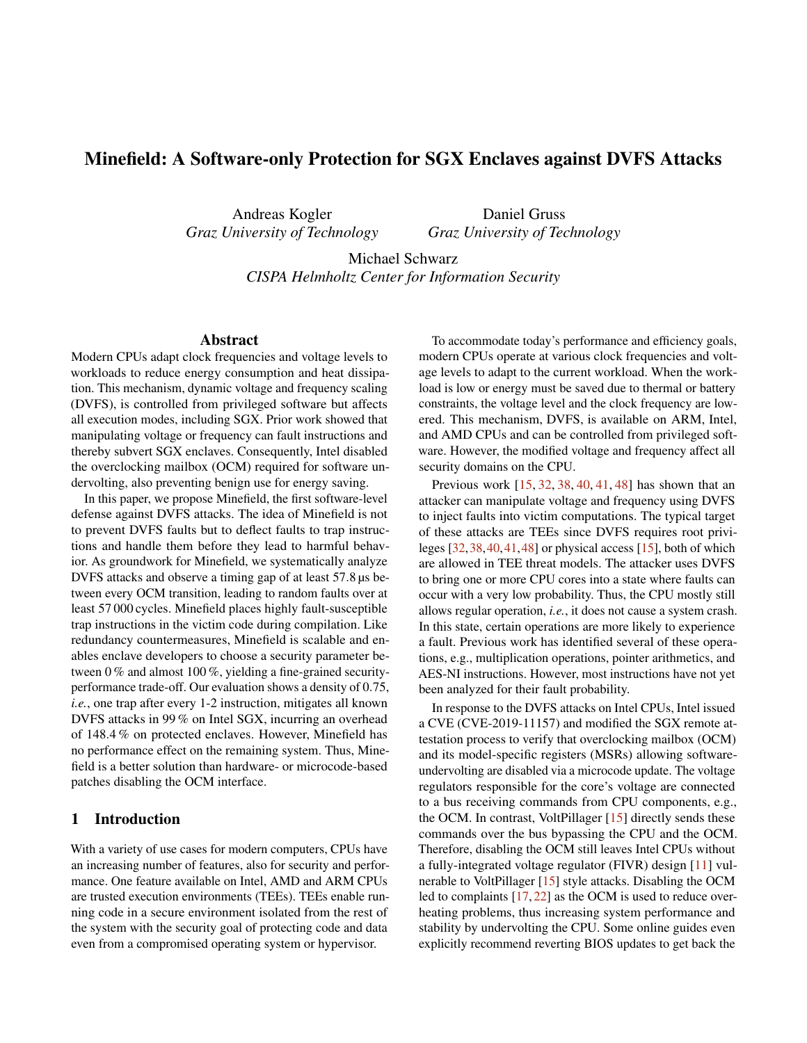# Minefield: A Software-only Protection for SGX Enclaves against DVFS Attacks

Andreas Kogler *Graz University of Technology*

Daniel Gruss *Graz University of Technology*

Michael Schwarz *CISPA Helmholtz Center for Information Security*

### Abstract

Modern CPUs adapt clock frequencies and voltage levels to workloads to reduce energy consumption and heat dissipation. This mechanism, dynamic voltage and frequency scaling (DVFS), is controlled from privileged software but affects all execution modes, including SGX. Prior work showed that manipulating voltage or frequency can fault instructions and thereby subvert SGX enclaves. Consequently, Intel disabled the overclocking mailbox (OCM) required for software undervolting, also preventing benign use for energy saving.

In this paper, we propose Minefield, the first software-level defense against DVFS attacks. The idea of Minefield is not to prevent DVFS faults but to deflect faults to trap instructions and handle them before they lead to harmful behavior. As groundwork for Minefield, we systematically analyze DVFS attacks and observe a timing gap of at least 57.8 µs between every OCM transition, leading to random faults over at least 57 000 cycles. Minefield places highly fault-susceptible trap instructions in the victim code during compilation. Like redundancy countermeasures, Minefield is scalable and enables enclave developers to choose a security parameter between 0 % and almost 100 %, yielding a fine-grained securityperformance trade-off. Our evaluation shows a density of 0.75, *i.e.*, one trap after every 1-2 instruction, mitigates all known DVFS attacks in 99 % on Intel SGX, incurring an overhead of 148.4 % on protected enclaves. However, Minefield has no performance effect on the remaining system. Thus, Minefield is a better solution than hardware- or microcode-based patches disabling the OCM interface.

## 1 Introduction

With a variety of use cases for modern computers, CPUs have an increasing number of features, also for security and performance. One feature available on Intel, AMD and ARM CPUs are trusted execution environments (TEEs). TEEs enable running code in a secure environment isolated from the rest of the system with the security goal of protecting code and data even from a compromised operating system or hypervisor.

To accommodate today's performance and efficiency goals, modern CPUs operate at various clock frequencies and voltage levels to adapt to the current workload. When the workload is low or energy must be saved due to thermal or battery constraints, the voltage level and the clock frequency are lowered. This mechanism, DVFS, is available on ARM, Intel, and AMD CPUs and can be controlled from privileged software. However, the modified voltage and frequency affect all security domains on the CPU.

Previous work [\[15,](#page-14-0) [32,](#page-14-1) [38,](#page-15-0) [40,](#page-15-1) [41,](#page-15-2) [48\]](#page-15-3) has shown that an attacker can manipulate voltage and frequency using DVFS to inject faults into victim computations. The typical target of these attacks are TEEs since DVFS requires root privileges [\[32,](#page-14-1)[38,](#page-15-0)[40,](#page-15-1)[41,](#page-15-2)[48\]](#page-15-3) or physical access [\[15\]](#page-14-0), both of which are allowed in TEE threat models. The attacker uses DVFS to bring one or more CPU cores into a state where faults can occur with a very low probability. Thus, the CPU mostly still allows regular operation, *i.e.*, it does not cause a system crash. In this state, certain operations are more likely to experience a fault. Previous work has identified several of these operations, e.g., multiplication operations, pointer arithmetics, and AES-NI instructions. However, most instructions have not yet been analyzed for their fault probability.

In response to the DVFS attacks on Intel CPUs, Intel issued a CVE (CVE-2019-11157) and modified the SGX remote attestation process to verify that overclocking mailbox (OCM) and its model-specific registers (MSRs) allowing softwareundervolting are disabled via a microcode update. The voltage regulators responsible for the core's voltage are connected to a bus receiving commands from CPU components, e.g., the OCM. In contrast, VoltPillager [\[15\]](#page-14-0) directly sends these commands over the bus bypassing the CPU and the OCM. Therefore, disabling the OCM still leaves Intel CPUs without a fully-integrated voltage regulator (FIVR) design [\[11\]](#page-14-2) vulnerable to VoltPillager [\[15\]](#page-14-0) style attacks. Disabling the OCM led to complaints [\[17,](#page-14-3) [22\]](#page-14-4) as the OCM is used to reduce overheating problems, thus increasing system performance and stability by undervolting the CPU. Some online guides even explicitly recommend reverting BIOS updates to get back the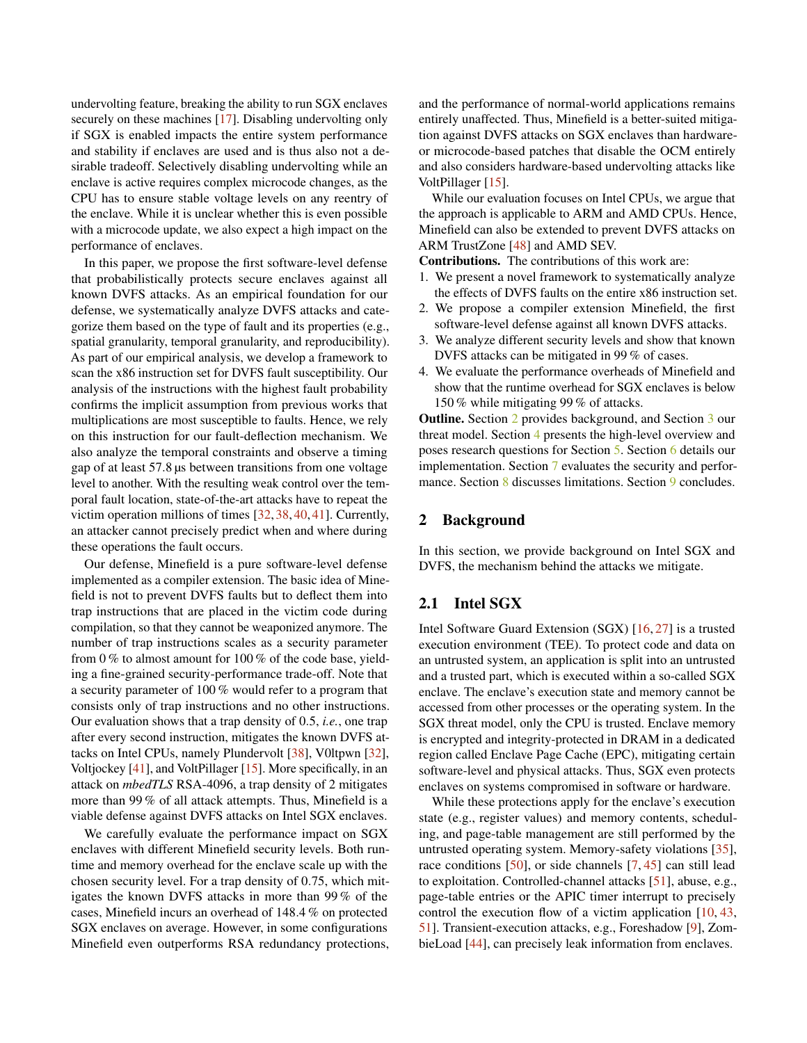undervolting feature, breaking the ability to run SGX enclaves securely on these machines [\[17\]](#page-14-3). Disabling undervolting only if SGX is enabled impacts the entire system performance and stability if enclaves are used and is thus also not a desirable tradeoff. Selectively disabling undervolting while an enclave is active requires complex microcode changes, as the CPU has to ensure stable voltage levels on any reentry of the enclave. While it is unclear whether this is even possible with a microcode update, we also expect a high impact on the performance of enclaves.

In this paper, we propose the first software-level defense that probabilistically protects secure enclaves against all known DVFS attacks. As an empirical foundation for our defense, we systematically analyze DVFS attacks and categorize them based on the type of fault and its properties (e.g., spatial granularity, temporal granularity, and reproducibility). As part of our empirical analysis, we develop a framework to scan the x86 instruction set for DVFS fault susceptibility. Our analysis of the instructions with the highest fault probability confirms the implicit assumption from previous works that multiplications are most susceptible to faults. Hence, we rely on this instruction for our fault-deflection mechanism. We also analyze the temporal constraints and observe a timing gap of at least 57.8 µs between transitions from one voltage level to another. With the resulting weak control over the temporal fault location, state-of-the-art attacks have to repeat the victim operation millions of times [\[32,](#page-14-1) [38,](#page-15-0) [40,](#page-15-1) [41\]](#page-15-2). Currently, an attacker cannot precisely predict when and where during these operations the fault occurs.

Our defense, Minefield is a pure software-level defense implemented as a compiler extension. The basic idea of Minefield is not to prevent DVFS faults but to deflect them into trap instructions that are placed in the victim code during compilation, so that they cannot be weaponized anymore. The number of trap instructions scales as a security parameter from 0 % to almost amount for 100 % of the code base, yielding a fine-grained security-performance trade-off. Note that a security parameter of 100 % would refer to a program that consists only of trap instructions and no other instructions. Our evaluation shows that a trap density of 0.5, *i.e.*, one trap after every second instruction, mitigates the known DVFS attacks on Intel CPUs, namely Plundervolt [\[38\]](#page-15-0), V0ltpwn [\[32\]](#page-14-1), Voltjockey [\[41\]](#page-15-2), and VoltPillager [\[15\]](#page-14-0). More specifically, in an attack on *mbedTLS* RSA-4096, a trap density of 2 mitigates more than 99 % of all attack attempts. Thus, Minefield is a viable defense against DVFS attacks on Intel SGX enclaves.

We carefully evaluate the performance impact on SGX enclaves with different Minefield security levels. Both runtime and memory overhead for the enclave scale up with the chosen security level. For a trap density of 0.75, which mitigates the known DVFS attacks in more than 99 % of the cases, Minefield incurs an overhead of 148.4 % on protected SGX enclaves on average. However, in some configurations Minefield even outperforms RSA redundancy protections, and the performance of normal-world applications remains entirely unaffected. Thus, Minefield is a better-suited mitigation against DVFS attacks on SGX enclaves than hardwareor microcode-based patches that disable the OCM entirely and also considers hardware-based undervolting attacks like VoltPillager [\[15\]](#page-14-0).

While our evaluation focuses on Intel CPUs, we argue that the approach is applicable to ARM and AMD CPUs. Hence, Minefield can also be extended to prevent DVFS attacks on ARM TrustZone [\[48\]](#page-15-3) and AMD SEV.

Contributions. The contributions of this work are:

- 1. We present a novel framework to systematically analyze the effects of DVFS faults on the entire x86 instruction set.
- 2. We propose a compiler extension Minefield, the first software-level defense against all known DVFS attacks.
- 3. We analyze different security levels and show that known DVFS attacks can be mitigated in 99 % of cases.
- 4. We evaluate the performance overheads of Minefield and show that the runtime overhead for SGX enclaves is below 150 % while mitigating 99 % of attacks.

Outline. Section [2](#page-1-0) provides background, and Section [3](#page-2-0) our threat model. Section [4](#page-2-1) presents the high-level overview and poses research questions for Section [5.](#page-3-0) Section [6](#page-6-0) details our implementation. Section [7](#page-8-0) evaluates the security and perfor-mance. Section [8](#page-12-0) discusses limitations. Section [9](#page-13-0) concludes.

## <span id="page-1-0"></span>2 Background

In this section, we provide background on Intel SGX and DVFS, the mechanism behind the attacks we mitigate.

# 2.1 Intel SGX

Intel Software Guard Extension (SGX) [\[16,](#page-14-5) [27\]](#page-14-6) is a trusted execution environment (TEE). To protect code and data on an untrusted system, an application is split into an untrusted and a trusted part, which is executed within a so-called SGX enclave. The enclave's execution state and memory cannot be accessed from other processes or the operating system. In the SGX threat model, only the CPU is trusted. Enclave memory is encrypted and integrity-protected in DRAM in a dedicated region called Enclave Page Cache (EPC), mitigating certain software-level and physical attacks. Thus, SGX even protects enclaves on systems compromised in software or hardware.

While these protections apply for the enclave's execution state (e.g., register values) and memory contents, scheduling, and page-table management are still performed by the untrusted operating system. Memory-safety violations [\[35\]](#page-15-4), race conditions [\[50\]](#page-15-5), or side channels [\[7,](#page-13-1) [45\]](#page-15-6) can still lead to exploitation. Controlled-channel attacks [\[51\]](#page-15-7), abuse, e.g., page-table entries or the APIC timer interrupt to precisely control the execution flow of a victim application [\[10,](#page-14-7) [43,](#page-15-8) [51\]](#page-15-7). Transient-execution attacks, e.g., Foreshadow [\[9\]](#page-13-2), ZombieLoad [\[44\]](#page-15-9), can precisely leak information from enclaves.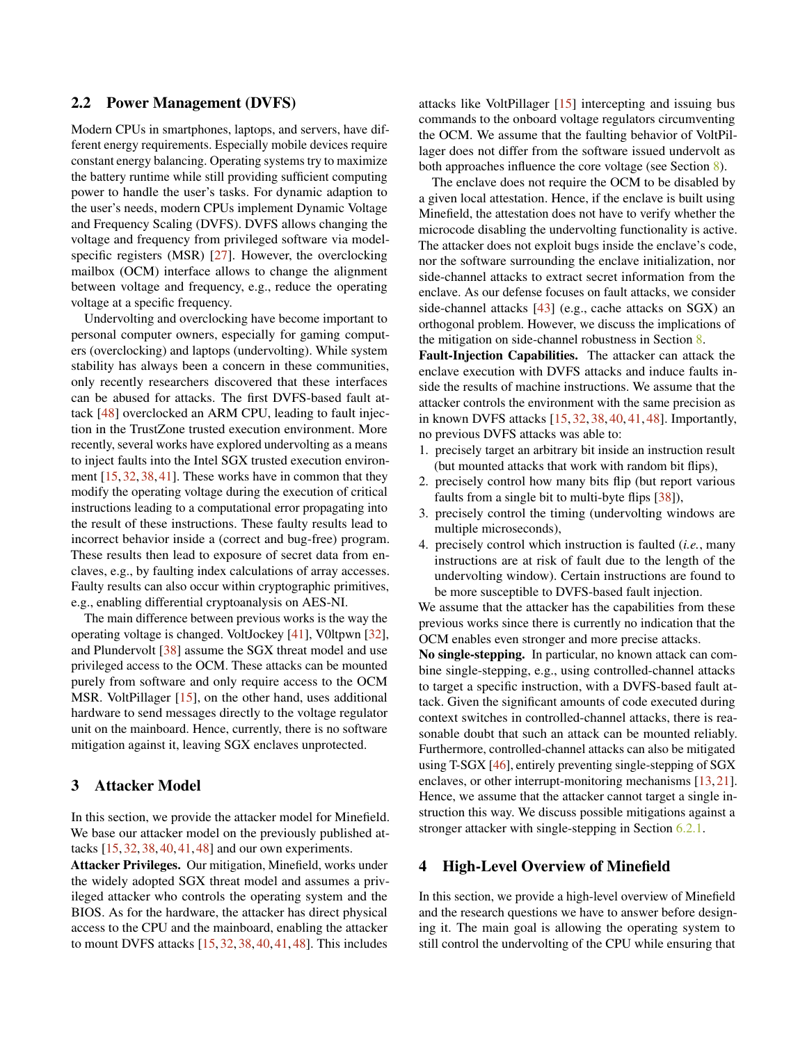## 2.2 Power Management (DVFS)

Modern CPUs in smartphones, laptops, and servers, have different energy requirements. Especially mobile devices require constant energy balancing. Operating systems try to maximize the battery runtime while still providing sufficient computing power to handle the user's tasks. For dynamic adaption to the user's needs, modern CPUs implement Dynamic Voltage and Frequency Scaling (DVFS). DVFS allows changing the voltage and frequency from privileged software via modelspecific registers (MSR) [\[27\]](#page-14-6). However, the overclocking mailbox (OCM) interface allows to change the alignment between voltage and frequency, e.g., reduce the operating voltage at a specific frequency.

Undervolting and overclocking have become important to personal computer owners, especially for gaming computers (overclocking) and laptops (undervolting). While system stability has always been a concern in these communities, only recently researchers discovered that these interfaces can be abused for attacks. The first DVFS-based fault attack [\[48\]](#page-15-3) overclocked an ARM CPU, leading to fault injection in the TrustZone trusted execution environment. More recently, several works have explored undervolting as a means to inject faults into the Intel SGX trusted execution environment [\[15,](#page-14-0) [32,](#page-14-1) [38,](#page-15-0) [41\]](#page-15-2). These works have in common that they modify the operating voltage during the execution of critical instructions leading to a computational error propagating into the result of these instructions. These faulty results lead to incorrect behavior inside a (correct and bug-free) program. These results then lead to exposure of secret data from enclaves, e.g., by faulting index calculations of array accesses. Faulty results can also occur within cryptographic primitives, e.g., enabling differential cryptoanalysis on AES-NI.

The main difference between previous works is the way the operating voltage is changed. VoltJockey [\[41\]](#page-15-2), V0ltpwn [\[32\]](#page-14-1), and Plundervolt [\[38\]](#page-15-0) assume the SGX threat model and use privileged access to the OCM. These attacks can be mounted purely from software and only require access to the OCM MSR. VoltPillager [\[15\]](#page-14-0), on the other hand, uses additional hardware to send messages directly to the voltage regulator unit on the mainboard. Hence, currently, there is no software mitigation against it, leaving SGX enclaves unprotected.

## <span id="page-2-0"></span>3 Attacker Model

In this section, we provide the attacker model for Minefield. We base our attacker model on the previously published attacks [\[15,](#page-14-0) [32,](#page-14-1) [38,](#page-15-0) [40,](#page-15-1) [41,](#page-15-2) [48\]](#page-15-3) and our own experiments.

Attacker Privileges. Our mitigation, Minefield, works under the widely adopted SGX threat model and assumes a privileged attacker who controls the operating system and the BIOS. As for the hardware, the attacker has direct physical access to the CPU and the mainboard, enabling the attacker to mount DVFS attacks [\[15,](#page-14-0) [32,](#page-14-1) [38,](#page-15-0) [40,](#page-15-1) [41,](#page-15-2) [48\]](#page-15-3). This includes

attacks like VoltPillager [\[15\]](#page-14-0) intercepting and issuing bus commands to the onboard voltage regulators circumventing the OCM. We assume that the faulting behavior of VoltPillager does not differ from the software issued undervolt as both approaches influence the core voltage (see Section [8\)](#page-12-0).

The enclave does not require the OCM to be disabled by a given local attestation. Hence, if the enclave is built using Minefield, the attestation does not have to verify whether the microcode disabling the undervolting functionality is active. The attacker does not exploit bugs inside the enclave's code, nor the software surrounding the enclave initialization, nor side-channel attacks to extract secret information from the enclave. As our defense focuses on fault attacks, we consider side-channel attacks [\[43\]](#page-15-8) (e.g., cache attacks on SGX) an orthogonal problem. However, we discuss the implications of the mitigation on side-channel robustness in Section [8.](#page-12-0)

Fault-Injection Capabilities. The attacker can attack the enclave execution with DVFS attacks and induce faults inside the results of machine instructions. We assume that the attacker controls the environment with the same precision as in known DVFS attacks [\[15,](#page-14-0) [32,](#page-14-1) [38,](#page-15-0) [40,](#page-15-1) [41,](#page-15-2) [48\]](#page-15-3). Importantly, no previous DVFS attacks was able to:

- 1. precisely target an arbitrary bit inside an instruction result (but mounted attacks that work with random bit flips),
- 2. precisely control how many bits flip (but report various faults from a single bit to multi-byte flips [\[38\]](#page-15-0)),
- 3. precisely control the timing (undervolting windows are multiple microseconds),
- 4. precisely control which instruction is faulted (*i.e.*, many instructions are at risk of fault due to the length of the undervolting window). Certain instructions are found to be more susceptible to DVFS-based fault injection.

We assume that the attacker has the capabilities from these previous works since there is currently no indication that the OCM enables even stronger and more precise attacks.

No single-stepping. In particular, no known attack can combine single-stepping, e.g., using controlled-channel attacks to target a specific instruction, with a DVFS-based fault attack. Given the significant amounts of code executed during context switches in controlled-channel attacks, there is reasonable doubt that such an attack can be mounted reliably. Furthermore, controlled-channel attacks can also be mitigated using T-SGX [\[46\]](#page-15-10), entirely preventing single-stepping of SGX enclaves, or other interrupt-monitoring mechanisms [\[13,](#page-14-8) [21\]](#page-14-9). Hence, we assume that the attacker cannot target a single instruction this way. We discuss possible mitigations against a stronger attacker with single-stepping in Section [6.2.1.](#page-8-1)

## <span id="page-2-1"></span>4 High-Level Overview of Minefield

In this section, we provide a high-level overview of Minefield and the research questions we have to answer before designing it. The main goal is allowing the operating system to still control the undervolting of the CPU while ensuring that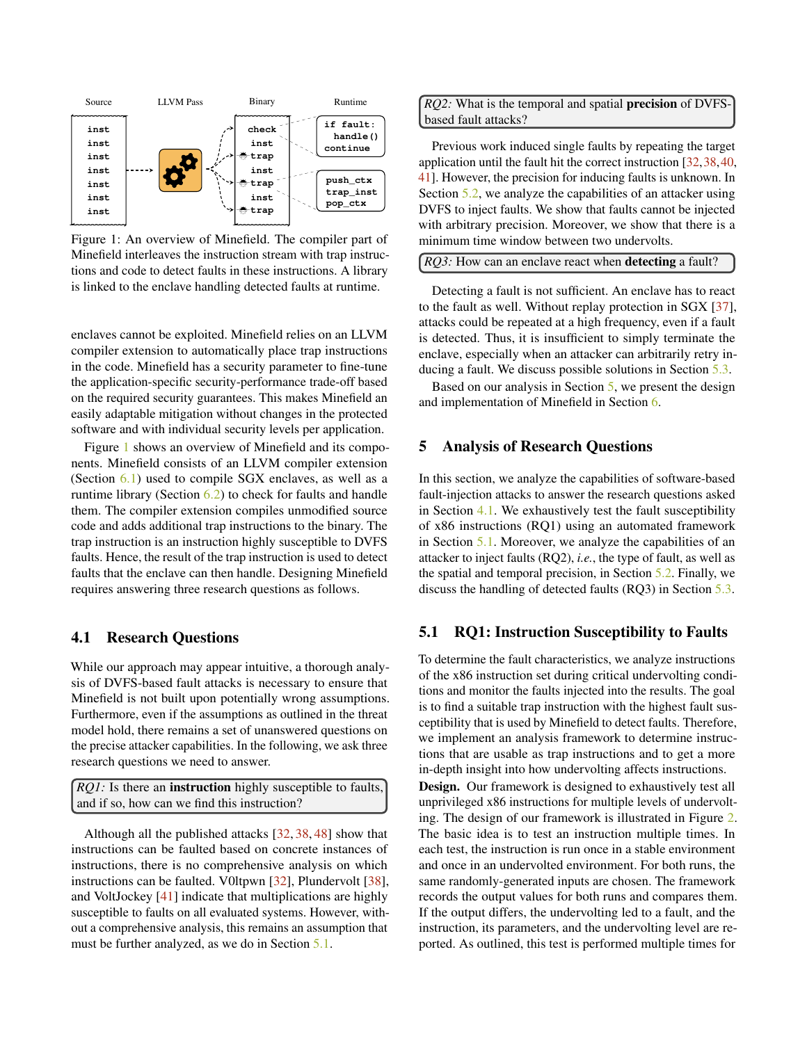<span id="page-3-1"></span>

Figure 1: An overview of Minefield. The compiler part of Minefield interleaves the instruction stream with trap instructions and code to detect faults in these instructions. A library is linked to the enclave handling detected faults at runtime.

enclaves cannot be exploited. Minefield relies on an LLVM compiler extension to automatically place trap instructions in the code. Minefield has a security parameter to fine-tune the application-specific security-performance trade-off based on the required security guarantees. This makes Minefield an easily adaptable mitigation without changes in the protected software and with individual security levels per application.

Figure [1](#page-3-1) shows an overview of Minefield and its components. Minefield consists of an LLVM compiler extension (Section  $6.1$ ) used to compile SGX enclaves, as well as a runtime library (Section [6.2\)](#page-8-2) to check for faults and handle them. The compiler extension compiles unmodified source code and adds additional trap instructions to the binary. The trap instruction is an instruction highly susceptible to DVFS faults. Hence, the result of the trap instruction is used to detect faults that the enclave can then handle. Designing Minefield requires answering three research questions as follows.

## <span id="page-3-3"></span>4.1 Research Questions

While our approach may appear intuitive, a thorough analysis of DVFS-based fault attacks is necessary to ensure that Minefield is not built upon potentially wrong assumptions. Furthermore, even if the assumptions as outlined in the threat model hold, there remains a set of unanswered questions on the precise attacker capabilities. In the following, we ask three research questions we need to answer.

*RQ1*: Is there an **instruction** highly susceptible to faults, and if so, how can we find this instruction?

Although all the published attacks [\[32,](#page-14-1) [38,](#page-15-0) [48\]](#page-15-3) show that instructions can be faulted based on concrete instances of instructions, there is no comprehensive analysis on which instructions can be faulted. V0ltpwn [\[32\]](#page-14-1), Plundervolt [\[38\]](#page-15-0), and VoltJockey [\[41\]](#page-15-2) indicate that multiplications are highly susceptible to faults on all evaluated systems. However, without a comprehensive analysis, this remains an assumption that must be further analyzed, as we do in Section [5.1.](#page-3-2)

*RQ2:* What is the temporal and spatial precision of DVFSbased fault attacks?

Previous work induced single faults by repeating the target application until the fault hit the correct instruction [\[32,](#page-14-1)[38,](#page-15-0)[40,](#page-15-1) [41\]](#page-15-2). However, the precision for inducing faults is unknown. In Section [5.2,](#page-4-0) we analyze the capabilities of an attacker using DVFS to inject faults. We show that faults cannot be injected with arbitrary precision. Moreover, we show that there is a minimum time window between two undervolts.

| <i>RQ3</i> : How can an enclave react when <b>detecting</b> a fault? |  |
|----------------------------------------------------------------------|--|
|----------------------------------------------------------------------|--|

Detecting a fault is not sufficient. An enclave has to react to the fault as well. Without replay protection in SGX [\[37\]](#page-15-11), attacks could be repeated at a high frequency, even if a fault is detected. Thus, it is insufficient to simply terminate the enclave, especially when an attacker can arbitrarily retry inducing a fault. We discuss possible solutions in Section [5.3.](#page-5-0)

Based on our analysis in Section [5,](#page-3-0) we present the design and implementation of Minefield in Section [6.](#page-6-0)

### <span id="page-3-0"></span>5 Analysis of Research Questions

In this section, we analyze the capabilities of software-based fault-injection attacks to answer the research questions asked in Section [4.1.](#page-3-3) We exhaustively test the fault susceptibility of x86 instructions (RQ1) using an automated framework in Section [5.1.](#page-3-2) Moreover, we analyze the capabilities of an attacker to inject faults (RQ2), *i.e.*, the type of fault, as well as the spatial and temporal precision, in Section [5.2.](#page-4-0) Finally, we discuss the handling of detected faults (RQ3) in Section [5.3.](#page-5-0)

## <span id="page-3-2"></span>5.1 RQ1: Instruction Susceptibility to Faults

To determine the fault characteristics, we analyze instructions of the x86 instruction set during critical undervolting conditions and monitor the faults injected into the results. The goal is to find a suitable trap instruction with the highest fault susceptibility that is used by Minefield to detect faults. Therefore, we implement an analysis framework to determine instructions that are usable as trap instructions and to get a more in-depth insight into how undervolting affects instructions.

Design. Our framework is designed to exhaustively test all unprivileged x86 instructions for multiple levels of undervolting. The design of our framework is illustrated in Figure [2.](#page-4-1) The basic idea is to test an instruction multiple times. In each test, the instruction is run once in a stable environment and once in an undervolted environment. For both runs, the same randomly-generated inputs are chosen. The framework records the output values for both runs and compares them. If the output differs, the undervolting led to a fault, and the instruction, its parameters, and the undervolting level are reported. As outlined, this test is performed multiple times for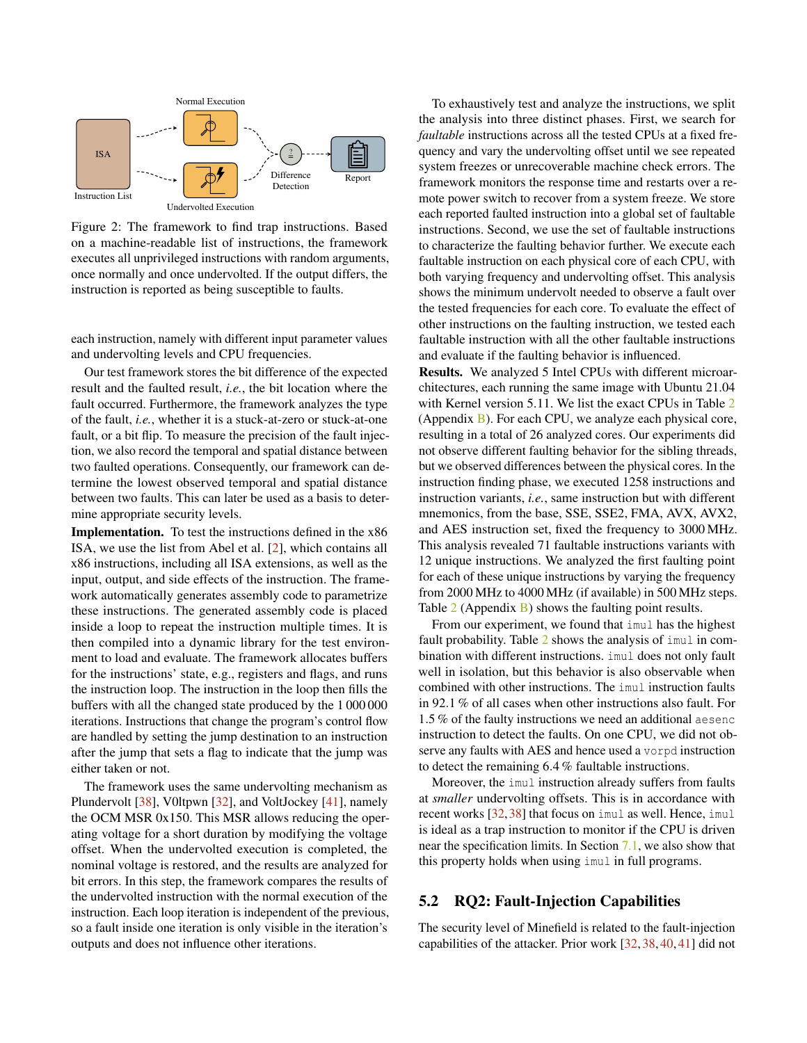<span id="page-4-1"></span>

Figure 2: The framework to find trap instructions. Based on a machine-readable list of instructions, the framework executes all unprivileged instructions with random arguments, once normally and once undervolted. If the output differs, the instruction is reported as being susceptible to faults.

each instruction, namely with different input parameter values and undervolting levels and CPU frequencies.

Our test framework stores the bit difference of the expected result and the faulted result, *i.e.*, the bit location where the fault occurred. Furthermore, the framework analyzes the type of the fault, *i.e.*, whether it is a stuck-at-zero or stuck-at-one fault, or a bit flip. To measure the precision of the fault injection, we also record the temporal and spatial distance between two faulted operations. Consequently, our framework can determine the lowest observed temporal and spatial distance between two faults. This can later be used as a basis to determine appropriate security levels.

Implementation. To test the instructions defined in the x86 ISA, we use the list from Abel et al. [\[2\]](#page-13-3), which contains all x86 instructions, including all ISA extensions, as well as the input, output, and side effects of the instruction. The framework automatically generates assembly code to parametrize these instructions. The generated assembly code is placed inside a loop to repeat the instruction multiple times. It is then compiled into a dynamic library for the test environment to load and evaluate. The framework allocates buffers for the instructions' state, e.g., registers and flags, and runs the instruction loop. The instruction in the loop then fills the buffers with all the changed state produced by the 1 000 000 iterations. Instructions that change the program's control flow are handled by setting the jump destination to an instruction after the jump that sets a flag to indicate that the jump was either taken or not.

The framework uses the same undervolting mechanism as Plundervolt [\[38\]](#page-15-0), V0ltpwn [\[32\]](#page-14-1), and VoltJockey [\[41\]](#page-15-2), namely the OCM MSR 0x150. This MSR allows reducing the operating voltage for a short duration by modifying the voltage offset. When the undervolted execution is completed, the nominal voltage is restored, and the results are analyzed for bit errors. In this step, the framework compares the results of the undervolted instruction with the normal execution of the instruction. Each loop iteration is independent of the previous, so a fault inside one iteration is only visible in the iteration's outputs and does not influence other iterations.

To exhaustively test and analyze the instructions, we split the analysis into three distinct phases. First, we search for *faultable* instructions across all the tested CPUs at a fixed frequency and vary the undervolting offset until we see repeated system freezes or unrecoverable machine check errors. The framework monitors the response time and restarts over a remote power switch to recover from a system freeze. We store each reported faulted instruction into a global set of faultable instructions. Second, we use the set of faultable instructions to characterize the faulting behavior further. We execute each faultable instruction on each physical core of each CPU, with both varying frequency and undervolting offset. This analysis shows the minimum undervolt needed to observe a fault over the tested frequencies for each core. To evaluate the effect of other instructions on the faulting instruction, we tested each faultable instruction with all the other faultable instructions and evaluate if the faulting behavior is influenced.

Results. We analyzed 5 Intel CPUs with different microarchitectures, each running the same image with Ubuntu 21.04 with Kernel version 5.11. We list the exact CPUs in Table [2](#page-16-0) (Appendix [B\)](#page-15-12). For each CPU, we analyze each physical core, resulting in a total of 26 analyzed cores. Our experiments did not observe different faulting behavior for the sibling threads, but we observed differences between the physical cores. In the instruction finding phase, we executed 1258 instructions and instruction variants, *i.e.*, same instruction but with different mnemonics, from the base, SSE, SSE2, FMA, AVX, AVX2, and AES instruction set, fixed the frequency to 3000 MHz. This analysis revealed 71 faultable instructions variants with 12 unique instructions. We analyzed the first faulting point for each of these unique instructions by varying the frequency from 2000 MHz to 4000 MHz (if available) in 500 MHz steps. Table  $2$  (Appendix [B\)](#page-15-12) shows the faulting point results.

From our experiment, we found that imul has the highest fault probability. Table [2](#page-16-0) shows the analysis of imul in combination with different instructions. imul does not only fault well in isolation, but this behavior is also observable when combined with other instructions. The imul instruction faults in 92.1 % of all cases when other instructions also fault. For 1.5 % of the faulty instructions we need an additional aesenc instruction to detect the faults. On one CPU, we did not observe any faults with AES and hence used a vorpd instruction to detect the remaining 6.4 % faultable instructions.

Moreover, the imul instruction already suffers from faults at *smaller* undervolting offsets. This is in accordance with recent works [\[32,](#page-14-1)[38\]](#page-15-0) that focus on imul as well. Hence, imul is ideal as a trap instruction to monitor if the CPU is driven near the specification limits. In Section [7.1,](#page-8-3) we also show that this property holds when using imul in full programs.

## <span id="page-4-0"></span>5.2 RQ2: Fault-Injection Capabilities

The security level of Minefield is related to the fault-injection capabilities of the attacker. Prior work [\[32,](#page-14-1) [38,](#page-15-0) [40,](#page-15-1) [41\]](#page-15-2) did not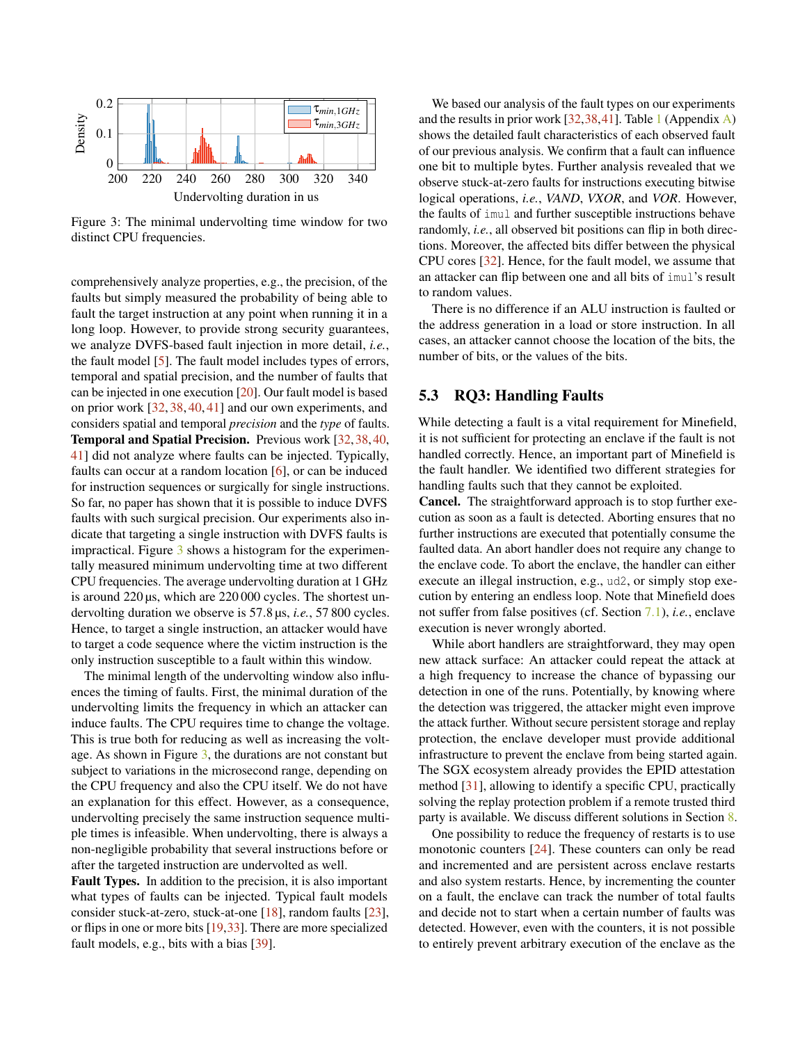<span id="page-5-1"></span>

Figure 3: The minimal undervolting time window for two distinct CPU frequencies.

comprehensively analyze properties, e.g., the precision, of the faults but simply measured the probability of being able to fault the target instruction at any point when running it in a long loop. However, to provide strong security guarantees, we analyze DVFS-based fault injection in more detail, *i.e.*, the fault model [\[5\]](#page-13-4). The fault model includes types of errors, temporal and spatial precision, and the number of faults that can be injected in one execution [\[20\]](#page-14-10). Our fault model is based on prior work [\[32,](#page-14-1) [38,](#page-15-0) [40,](#page-15-1) [41\]](#page-15-2) and our own experiments, and considers spatial and temporal *precision* and the *type* of faults. Temporal and Spatial Precision. Previous work [\[32,](#page-14-1)[38,](#page-15-0)[40,](#page-15-1) [41\]](#page-15-2) did not analyze where faults can be injected. Typically, faults can occur at a random location [\[6\]](#page-13-5), or can be induced for instruction sequences or surgically for single instructions. So far, no paper has shown that it is possible to induce DVFS faults with such surgical precision. Our experiments also indicate that targeting a single instruction with DVFS faults is impractical. Figure [3](#page-5-1) shows a histogram for the experimentally measured minimum undervolting time at two different CPU frequencies. The average undervolting duration at 1 GHz is around 220 µs, which are 220 000 cycles. The shortest undervolting duration we observe is 57.8 µs, *i.e.*, 57 800 cycles. Hence, to target a single instruction, an attacker would have to target a code sequence where the victim instruction is the only instruction susceptible to a fault within this window.

The minimal length of the undervolting window also influences the timing of faults. First, the minimal duration of the undervolting limits the frequency in which an attacker can induce faults. The CPU requires time to change the voltage. This is true both for reducing as well as increasing the voltage. As shown in Figure  $3$ , the durations are not constant but subject to variations in the microsecond range, depending on the CPU frequency and also the CPU itself. We do not have an explanation for this effect. However, as a consequence, undervolting precisely the same instruction sequence multiple times is infeasible. When undervolting, there is always a non-negligible probability that several instructions before or after the targeted instruction are undervolted as well.

Fault Types. In addition to the precision, it is also important what types of faults can be injected. Typical fault models consider stuck-at-zero, stuck-at-one [\[18\]](#page-14-11), random faults [\[23\]](#page-14-12), or flips in one or more bits [\[19,](#page-14-13)[33\]](#page-14-14). There are more specialized fault models, e.g., bits with a bias [\[39\]](#page-15-13).

We based our analysis of the fault types on our experiments and the results in prior work  $[32,38,41]$  $[32,38,41]$  $[32,38,41]$ . Table [1](#page-16-1) (Appendix [A\)](#page-15-14) shows the detailed fault characteristics of each observed fault of our previous analysis. We confirm that a fault can influence one bit to multiple bytes. Further analysis revealed that we observe stuck-at-zero faults for instructions executing bitwise logical operations, *i.e.*, *VAND*, *VXOR*, and *VOR*. However, the faults of imul and further susceptible instructions behave randomly, *i.e.*, all observed bit positions can flip in both directions. Moreover, the affected bits differ between the physical CPU cores [\[32\]](#page-14-1). Hence, for the fault model, we assume that an attacker can flip between one and all bits of imul's result to random values.

There is no difference if an ALU instruction is faulted or the address generation in a load or store instruction. In all cases, an attacker cannot choose the location of the bits, the number of bits, or the values of the bits.

## <span id="page-5-0"></span>5.3 RQ3: Handling Faults

While detecting a fault is a vital requirement for Minefield, it is not sufficient for protecting an enclave if the fault is not handled correctly. Hence, an important part of Minefield is the fault handler. We identified two different strategies for handling faults such that they cannot be exploited.

Cancel. The straightforward approach is to stop further execution as soon as a fault is detected. Aborting ensures that no further instructions are executed that potentially consume the faulted data. An abort handler does not require any change to the enclave code. To abort the enclave, the handler can either execute an illegal instruction, e.g., ud2, or simply stop execution by entering an endless loop. Note that Minefield does not suffer from false positives (cf. Section [7.1\)](#page-8-3), *i.e.*, enclave execution is never wrongly aborted.

While abort handlers are straightforward, they may open new attack surface: An attacker could repeat the attack at a high frequency to increase the chance of bypassing our detection in one of the runs. Potentially, by knowing where the detection was triggered, the attacker might even improve the attack further. Without secure persistent storage and replay protection, the enclave developer must provide additional infrastructure to prevent the enclave from being started again. The SGX ecosystem already provides the EPID attestation method [\[31\]](#page-14-15), allowing to identify a specific CPU, practically solving the replay protection problem if a remote trusted third party is available. We discuss different solutions in Section [8.](#page-12-0)

One possibility to reduce the frequency of restarts is to use monotonic counters [\[24\]](#page-14-16). These counters can only be read and incremented and are persistent across enclave restarts and also system restarts. Hence, by incrementing the counter on a fault, the enclave can track the number of total faults and decide not to start when a certain number of faults was detected. However, even with the counters, it is not possible to entirely prevent arbitrary execution of the enclave as the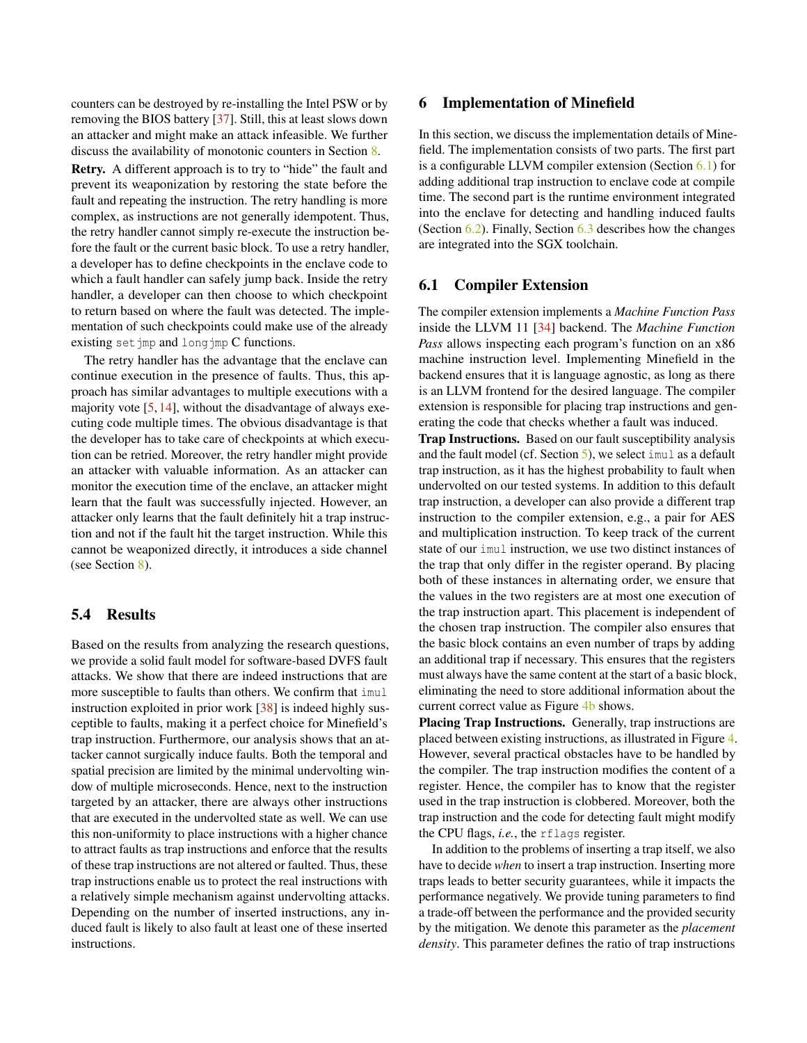counters can be destroyed by re-installing the Intel PSW or by removing the BIOS battery [\[37\]](#page-15-11). Still, this at least slows down an attacker and might make an attack infeasible. We further discuss the availability of monotonic counters in Section [8.](#page-12-0)

Retry. A different approach is to try to "hide" the fault and prevent its weaponization by restoring the state before the fault and repeating the instruction. The retry handling is more complex, as instructions are not generally idempotent. Thus, the retry handler cannot simply re-execute the instruction before the fault or the current basic block. To use a retry handler, a developer has to define checkpoints in the enclave code to which a fault handler can safely jump back. Inside the retry handler, a developer can then choose to which checkpoint to return based on where the fault was detected. The implementation of such checkpoints could make use of the already existing setjmp and longjmp C functions.

The retry handler has the advantage that the enclave can continue execution in the presence of faults. Thus, this approach has similar advantages to multiple executions with a majority vote  $[5, 14]$  $[5, 14]$  $[5, 14]$ , without the disadvantage of always executing code multiple times. The obvious disadvantage is that the developer has to take care of checkpoints at which execution can be retried. Moreover, the retry handler might provide an attacker with valuable information. As an attacker can monitor the execution time of the enclave, an attacker might learn that the fault was successfully injected. However, an attacker only learns that the fault definitely hit a trap instruction and not if the fault hit the target instruction. While this cannot be weaponized directly, it introduces a side channel (see Section [8\)](#page-12-0).

## 5.4 Results

Based on the results from analyzing the research questions, we provide a solid fault model for software-based DVFS fault attacks. We show that there are indeed instructions that are more susceptible to faults than others. We confirm that imul instruction exploited in prior work [\[38\]](#page-15-0) is indeed highly susceptible to faults, making it a perfect choice for Minefield's trap instruction. Furthermore, our analysis shows that an attacker cannot surgically induce faults. Both the temporal and spatial precision are limited by the minimal undervolting window of multiple microseconds. Hence, next to the instruction targeted by an attacker, there are always other instructions that are executed in the undervolted state as well. We can use this non-uniformity to place instructions with a higher chance to attract faults as trap instructions and enforce that the results of these trap instructions are not altered or faulted. Thus, these trap instructions enable us to protect the real instructions with a relatively simple mechanism against undervolting attacks. Depending on the number of inserted instructions, any induced fault is likely to also fault at least one of these inserted instructions.

## <span id="page-6-0"></span>6 Implementation of Minefield

In this section, we discuss the implementation details of Minefield. The implementation consists of two parts. The first part is a configurable LLVM compiler extension (Section [6.1\)](#page-6-1) for adding additional trap instruction to enclave code at compile time. The second part is the runtime environment integrated into the enclave for detecting and handling induced faults (Section [6.2\)](#page-8-2). Finally, Section [6.3](#page-8-4) describes how the changes are integrated into the SGX toolchain.

## <span id="page-6-1"></span>6.1 Compiler Extension

The compiler extension implements a *Machine Function Pass* inside the LLVM 11 [\[34\]](#page-14-18) backend. The *Machine Function Pass* allows inspecting each program's function on an x86 machine instruction level. Implementing Minefield in the backend ensures that it is language agnostic, as long as there is an LLVM frontend for the desired language. The compiler extension is responsible for placing trap instructions and generating the code that checks whether a fault was induced.

Trap Instructions. Based on our fault susceptibility analysis and the fault model (cf. Section [5\)](#page-3-0), we select imul as a default trap instruction, as it has the highest probability to fault when undervolted on our tested systems. In addition to this default trap instruction, a developer can also provide a different trap instruction to the compiler extension, e.g., a pair for AES and multiplication instruction. To keep track of the current state of our imul instruction, we use two distinct instances of the trap that only differ in the register operand. By placing both of these instances in alternating order, we ensure that the values in the two registers are at most one execution of the trap instruction apart. This placement is independent of the chosen trap instruction. The compiler also ensures that the basic block contains an even number of traps by adding an additional trap if necessary. This ensures that the registers must always have the same content at the start of a basic block, eliminating the need to store additional information about the current correct value as Figure [4b](#page-7-0) shows.

Placing Trap Instructions. Generally, trap instructions are placed between existing instructions, as illustrated in Figure [4.](#page-7-0) However, several practical obstacles have to be handled by the compiler. The trap instruction modifies the content of a register. Hence, the compiler has to know that the register used in the trap instruction is clobbered. Moreover, both the trap instruction and the code for detecting fault might modify the CPU flags, *i.e.*, the rflags register.

In addition to the problems of inserting a trap itself, we also have to decide *when* to insert a trap instruction. Inserting more traps leads to better security guarantees, while it impacts the performance negatively. We provide tuning parameters to find a trade-off between the performance and the provided security by the mitigation. We denote this parameter as the *placement density*. This parameter defines the ratio of trap instructions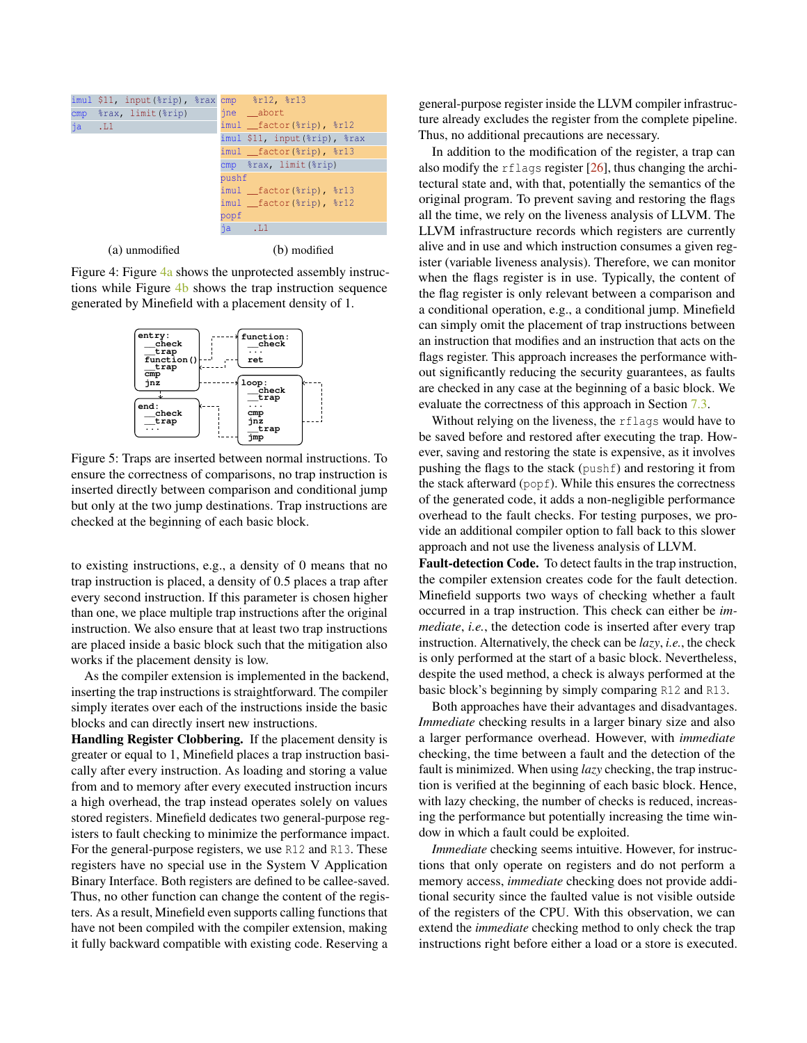<span id="page-7-0"></span>

(a) unmodified

(b) modified

Figure 4: Figure [4a](#page-7-0) shows the unprotected assembly instructions while Figure [4b](#page-7-0) shows the trap instruction sequence generated by Minefield with a placement density of 1.

<span id="page-7-1"></span>

Figure 5: Traps are inserted between normal instructions. To ensure the correctness of comparisons, no trap instruction is inserted directly between comparison and conditional jump but only at the two jump destinations. Trap instructions are checked at the beginning of each basic block.

to existing instructions, e.g., a density of 0 means that no trap instruction is placed, a density of 0.5 places a trap after every second instruction. If this parameter is chosen higher than one, we place multiple trap instructions after the original instruction. We also ensure that at least two trap instructions are placed inside a basic block such that the mitigation also works if the placement density is low.

As the compiler extension is implemented in the backend, inserting the trap instructions is straightforward. The compiler simply iterates over each of the instructions inside the basic blocks and can directly insert new instructions.

Handling Register Clobbering. If the placement density is greater or equal to 1, Minefield places a trap instruction basically after every instruction. As loading and storing a value from and to memory after every executed instruction incurs a high overhead, the trap instead operates solely on values stored registers. Minefield dedicates two general-purpose registers to fault checking to minimize the performance impact. For the general-purpose registers, we use R12 and R13. These registers have no special use in the System V Application Binary Interface. Both registers are defined to be callee-saved. Thus, no other function can change the content of the registers. As a result, Minefield even supports calling functions that have not been compiled with the compiler extension, making it fully backward compatible with existing code. Reserving a

general-purpose register inside the LLVM compiler infrastructure already excludes the register from the complete pipeline. Thus, no additional precautions are necessary.

In addition to the modification of the register, a trap can also modify the rflags register  $[26]$ , thus changing the architectural state and, with that, potentially the semantics of the original program. To prevent saving and restoring the flags all the time, we rely on the liveness analysis of LLVM. The LLVM infrastructure records which registers are currently alive and in use and which instruction consumes a given register (variable liveness analysis). Therefore, we can monitor when the flags register is in use. Typically, the content of the flag register is only relevant between a comparison and a conditional operation, e.g., a conditional jump. Minefield can simply omit the placement of trap instructions between an instruction that modifies and an instruction that acts on the flags register. This approach increases the performance without significantly reducing the security guarantees, as faults are checked in any case at the beginning of a basic block. We evaluate the correctness of this approach in Section [7.3.](#page-11-0)

Without relying on the liveness, the rflags would have to be saved before and restored after executing the trap. However, saving and restoring the state is expensive, as it involves pushing the flags to the stack (pushf) and restoring it from the stack afterward (popf). While this ensures the correctness of the generated code, it adds a non-negligible performance overhead to the fault checks. For testing purposes, we provide an additional compiler option to fall back to this slower approach and not use the liveness analysis of LLVM.

Fault-detection Code. To detect faults in the trap instruction, the compiler extension creates code for the fault detection. Minefield supports two ways of checking whether a fault occurred in a trap instruction. This check can either be *immediate*, *i.e.*, the detection code is inserted after every trap instruction. Alternatively, the check can be *lazy*, *i.e.*, the check is only performed at the start of a basic block. Nevertheless, despite the used method, a check is always performed at the basic block's beginning by simply comparing R12 and R13.

Both approaches have their advantages and disadvantages. *Immediate* checking results in a larger binary size and also a larger performance overhead. However, with *immediate* checking, the time between a fault and the detection of the fault is minimized. When using *lazy* checking, the trap instruction is verified at the beginning of each basic block. Hence, with lazy checking, the number of checks is reduced, increasing the performance but potentially increasing the time window in which a fault could be exploited.

*Immediate* checking seems intuitive. However, for instructions that only operate on registers and do not perform a memory access, *immediate* checking does not provide additional security since the faulted value is not visible outside of the registers of the CPU. With this observation, we can extend the *immediate* checking method to only check the trap instructions right before either a load or a store is executed.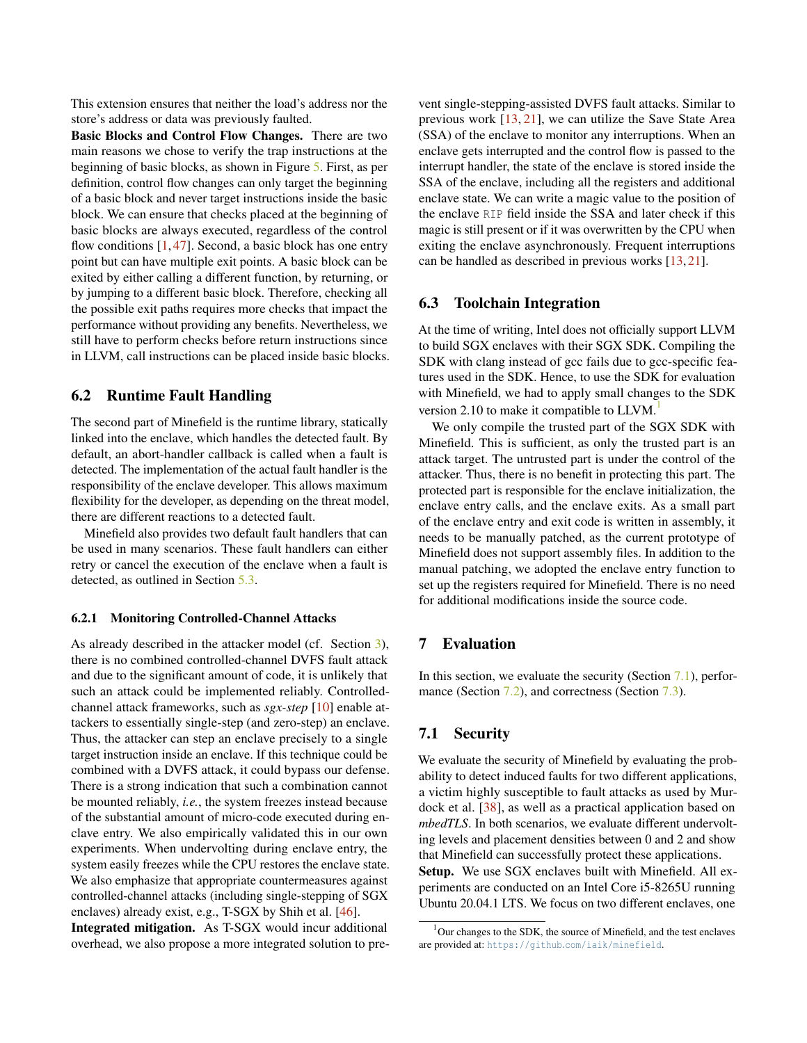This extension ensures that neither the load's address nor the store's address or data was previously faulted.

Basic Blocks and Control Flow Changes. There are two main reasons we chose to verify the trap instructions at the beginning of basic blocks, as shown in Figure [5.](#page-7-1) First, as per definition, control flow changes can only target the beginning of a basic block and never target instructions inside the basic block. We can ensure that checks placed at the beginning of basic blocks are always executed, regardless of the control flow conditions  $[1, 47]$  $[1, 47]$  $[1, 47]$ . Second, a basic block has one entry point but can have multiple exit points. A basic block can be exited by either calling a different function, by returning, or by jumping to a different basic block. Therefore, checking all the possible exit paths requires more checks that impact the performance without providing any benefits. Nevertheless, we still have to perform checks before return instructions since in LLVM, call instructions can be placed inside basic blocks.

### <span id="page-8-2"></span>6.2 Runtime Fault Handling

The second part of Minefield is the runtime library, statically linked into the enclave, which handles the detected fault. By default, an abort-handler callback is called when a fault is detected. The implementation of the actual fault handler is the responsibility of the enclave developer. This allows maximum flexibility for the developer, as depending on the threat model, there are different reactions to a detected fault.

Minefield also provides two default fault handlers that can be used in many scenarios. These fault handlers can either retry or cancel the execution of the enclave when a fault is detected, as outlined in Section [5.3.](#page-5-0)

#### <span id="page-8-1"></span>6.2.1 Monitoring Controlled-Channel Attacks

As already described in the attacker model (cf. Section [3\)](#page-2-0), there is no combined controlled-channel DVFS fault attack and due to the significant amount of code, it is unlikely that such an attack could be implemented reliably. Controlledchannel attack frameworks, such as *sgx-step* [\[10\]](#page-14-7) enable attackers to essentially single-step (and zero-step) an enclave. Thus, the attacker can step an enclave precisely to a single target instruction inside an enclave. If this technique could be combined with a DVFS attack, it could bypass our defense. There is a strong indication that such a combination cannot be mounted reliably, *i.e.*, the system freezes instead because of the substantial amount of micro-code executed during enclave entry. We also empirically validated this in our own experiments. When undervolting during enclave entry, the system easily freezes while the CPU restores the enclave state. We also emphasize that appropriate countermeasures against controlled-channel attacks (including single-stepping of SGX enclaves) already exist, e.g., T-SGX by Shih et al. [\[46\]](#page-15-10).

Integrated mitigation. As T-SGX would incur additional overhead, we also propose a more integrated solution to prevent single-stepping-assisted DVFS fault attacks. Similar to previous work [\[13,](#page-14-8) [21\]](#page-14-9), we can utilize the Save State Area (SSA) of the enclave to monitor any interruptions. When an enclave gets interrupted and the control flow is passed to the interrupt handler, the state of the enclave is stored inside the SSA of the enclave, including all the registers and additional enclave state. We can write a magic value to the position of the enclave RIP field inside the SSA and later check if this magic is still present or if it was overwritten by the CPU when exiting the enclave asynchronously. Frequent interruptions can be handled as described in previous works [\[13,](#page-14-8) [21\]](#page-14-9).

## <span id="page-8-4"></span>6.3 Toolchain Integration

At the time of writing, Intel does not officially support LLVM to build SGX enclaves with their SGX SDK. Compiling the SDK with clang instead of gcc fails due to gcc-specific features used in the SDK. Hence, to use the SDK for evaluation with Minefield, we had to apply small changes to the SDK version 2.[1](#page-8-5)0 to make it compatible to LLVM.

We only compile the trusted part of the SGX SDK with Minefield. This is sufficient, as only the trusted part is an attack target. The untrusted part is under the control of the attacker. Thus, there is no benefit in protecting this part. The protected part is responsible for the enclave initialization, the enclave entry calls, and the enclave exits. As a small part of the enclave entry and exit code is written in assembly, it needs to be manually patched, as the current prototype of Minefield does not support assembly files. In addition to the manual patching, we adopted the enclave entry function to set up the registers required for Minefield. There is no need for additional modifications inside the source code.

## <span id="page-8-0"></span>7 Evaluation

In this section, we evaluate the security (Section [7.1\)](#page-8-3), perfor-mance (Section [7.2\)](#page-10-0), and correctness (Section [7.3\)](#page-11-0).

## <span id="page-8-3"></span>7.1 Security

We evaluate the security of Minefield by evaluating the probability to detect induced faults for two different applications, a victim highly susceptible to fault attacks as used by Murdock et al. [\[38\]](#page-15-0), as well as a practical application based on *mbedTLS*. In both scenarios, we evaluate different undervolting levels and placement densities between 0 and 2 and show that Minefield can successfully protect these applications. Setup. We use SGX enclaves built with Minefield. All experiments are conducted on an Intel Core i5-8265U running Ubuntu 20.04.1 LTS. We focus on two different enclaves, one

<span id="page-8-5"></span> $1$ Our changes to the SDK, the source of Minefield, and the test enclaves are provided at: https://github.[com/iaik/minefield](https://github.com/iaik/minefield).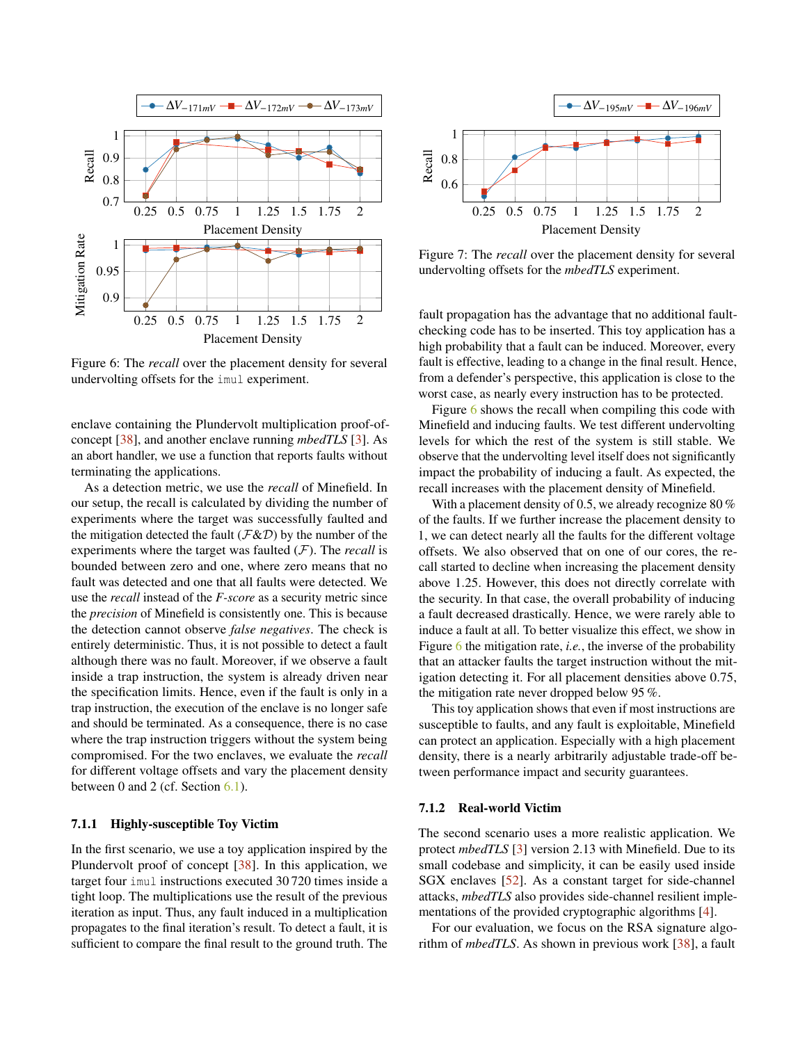<span id="page-9-0"></span>

Figure 6: The *recall* over the placement density for several undervolting offsets for the imul experiment.

enclave containing the Plundervolt multiplication proof-ofconcept [\[38\]](#page-15-0), and another enclave running *mbedTLS* [\[3\]](#page-13-7). As an abort handler, we use a function that reports faults without terminating the applications.

As a detection metric, we use the *recall* of Minefield. In our setup, the recall is calculated by dividing the number of experiments where the target was successfully faulted and the mitigation detected the fault ( $\mathcal{F}\&\mathcal{D}$ ) by the number of the experiments where the target was faulted (F). The *recall* is bounded between zero and one, where zero means that no fault was detected and one that all faults were detected. We use the *recall* instead of the *F-score* as a security metric since the *precision* of Minefield is consistently one. This is because the detection cannot observe *false negatives*. The check is entirely deterministic. Thus, it is not possible to detect a fault although there was no fault. Moreover, if we observe a fault inside a trap instruction, the system is already driven near the specification limits. Hence, even if the fault is only in a trap instruction, the execution of the enclave is no longer safe and should be terminated. As a consequence, there is no case where the trap instruction triggers without the system being compromised. For the two enclaves, we evaluate the *recall* for different voltage offsets and vary the placement density between 0 and 2 (cf. Section [6.1\)](#page-6-1).

## 7.1.1 Highly-susceptible Toy Victim

In the first scenario, we use a toy application inspired by the Plundervolt proof of concept [\[38\]](#page-15-0). In this application, we target four imul instructions executed 30 720 times inside a tight loop. The multiplications use the result of the previous iteration as input. Thus, any fault induced in a multiplication propagates to the final iteration's result. To detect a fault, it is sufficient to compare the final result to the ground truth. The

<span id="page-9-1"></span>

Figure 7: The *recall* over the placement density for several undervolting offsets for the *mbedTLS* experiment.

fault propagation has the advantage that no additional faultchecking code has to be inserted. This toy application has a high probability that a fault can be induced. Moreover, every fault is effective, leading to a change in the final result. Hence, from a defender's perspective, this application is close to the worst case, as nearly every instruction has to be protected.

Figure [6](#page-9-0) shows the recall when compiling this code with Minefield and inducing faults. We test different undervolting levels for which the rest of the system is still stable. We observe that the undervolting level itself does not significantly impact the probability of inducing a fault. As expected, the recall increases with the placement density of Minefield.

With a placement density of 0.5, we already recognize 80 % of the faults. If we further increase the placement density to 1, we can detect nearly all the faults for the different voltage offsets. We also observed that on one of our cores, the recall started to decline when increasing the placement density above 1.25. However, this does not directly correlate with the security. In that case, the overall probability of inducing a fault decreased drastically. Hence, we were rarely able to induce a fault at all. To better visualize this effect, we show in Figure [6](#page-9-0) the mitigation rate, *i.e.*, the inverse of the probability that an attacker faults the target instruction without the mitigation detecting it. For all placement densities above 0.75, the mitigation rate never dropped below 95 %.

This toy application shows that even if most instructions are susceptible to faults, and any fault is exploitable, Minefield can protect an application. Especially with a high placement density, there is a nearly arbitrarily adjustable trade-off between performance impact and security guarantees.

#### 7.1.2 Real-world Victim

The second scenario uses a more realistic application. We protect *mbedTLS* [\[3\]](#page-13-7) version 2.13 with Minefield. Due to its small codebase and simplicity, it can be easily used inside SGX enclaves [\[52\]](#page-15-16). As a constant target for side-channel attacks, *mbedTLS* also provides side-channel resilient implementations of the provided cryptographic algorithms [\[4\]](#page-13-8).

For our evaluation, we focus on the RSA signature algorithm of *mbedTLS*. As shown in previous work [\[38\]](#page-15-0), a fault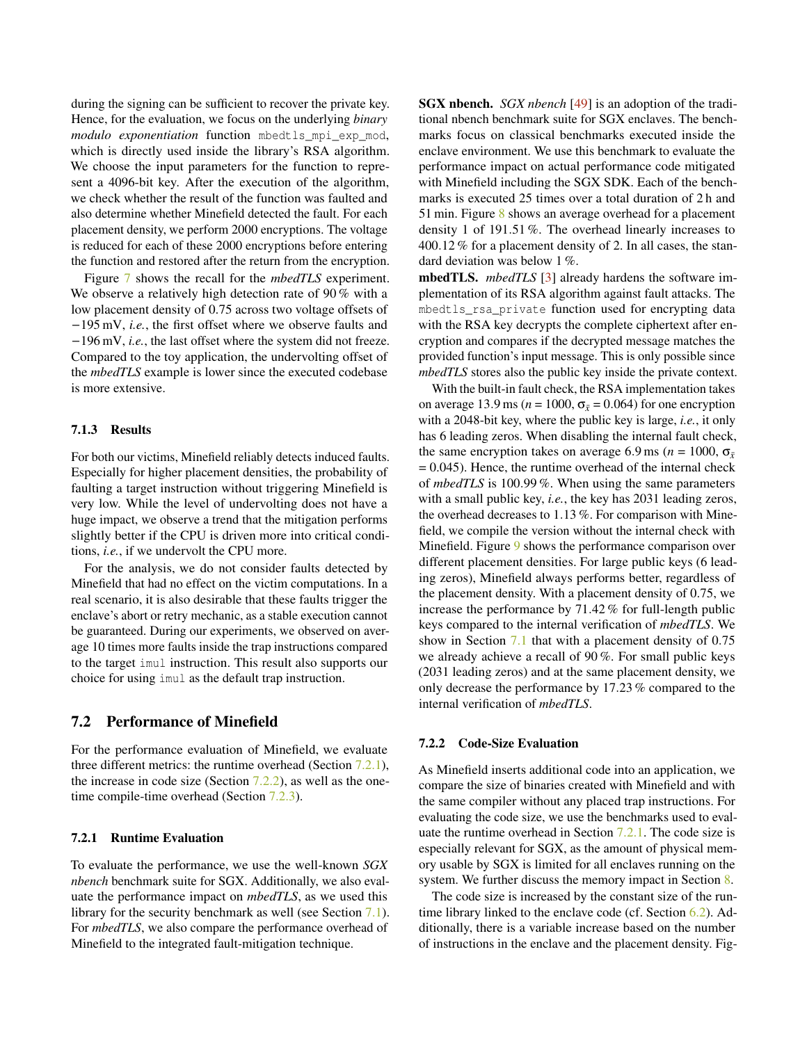during the signing can be sufficient to recover the private key. Hence, for the evaluation, we focus on the underlying *binary modulo exponentiation* function mbedtls\_mpi\_exp\_mod, which is directly used inside the library's RSA algorithm. We choose the input parameters for the function to represent a 4096-bit key. After the execution of the algorithm, we check whether the result of the function was faulted and also determine whether Minefield detected the fault. For each placement density, we perform 2000 encryptions. The voltage is reduced for each of these 2000 encryptions before entering the function and restored after the return from the encryption.

Figure [7](#page-9-1) shows the recall for the *mbedTLS* experiment. We observe a relatively high detection rate of 90% with a low placement density of 0.75 across two voltage offsets of −195 mV, *i.e.*, the first offset where we observe faults and −196 mV, *i.e.*, the last offset where the system did not freeze. Compared to the toy application, the undervolting offset of the *mbedTLS* example is lower since the executed codebase is more extensive.

#### 7.1.3 Results

For both our victims, Minefield reliably detects induced faults. Especially for higher placement densities, the probability of faulting a target instruction without triggering Minefield is very low. While the level of undervolting does not have a huge impact, we observe a trend that the mitigation performs slightly better if the CPU is driven more into critical conditions, *i.e.*, if we undervolt the CPU more.

For the analysis, we do not consider faults detected by Minefield that had no effect on the victim computations. In a real scenario, it is also desirable that these faults trigger the enclave's abort or retry mechanic, as a stable execution cannot be guaranteed. During our experiments, we observed on average 10 times more faults inside the trap instructions compared to the target imul instruction. This result also supports our choice for using imul as the default trap instruction.

## <span id="page-10-0"></span>7.2 Performance of Minefield

For the performance evaluation of Minefield, we evaluate three different metrics: the runtime overhead (Section [7.2.1\)](#page-10-1), the increase in code size (Section  $7.2.2$ ), as well as the one-time compile-time overhead (Section [7.2.3\)](#page-11-1).

#### <span id="page-10-1"></span>7.2.1 Runtime Evaluation

To evaluate the performance, we use the well-known *SGX nbench* benchmark suite for SGX. Additionally, we also evaluate the performance impact on *mbedTLS*, as we used this library for the security benchmark as well (see Section [7.1\)](#page-8-3). For *mbedTLS*, we also compare the performance overhead of Minefield to the integrated fault-mitigation technique.

SGX nbench. *SGX nbench* [\[49\]](#page-15-17) is an adoption of the traditional nbench benchmark suite for SGX enclaves. The benchmarks focus on classical benchmarks executed inside the enclave environment. We use this benchmark to evaluate the performance impact on actual performance code mitigated with Minefield including the SGX SDK. Each of the benchmarks is executed 25 times over a total duration of 2 h and 51 min. Figure [8](#page-11-2) shows an average overhead for a placement density 1 of 191.51 %. The overhead linearly increases to 400.12 % for a placement density of 2. In all cases, the standard deviation was below 1 %.

mbedTLS. *mbedTLS* [\[3\]](#page-13-7) already hardens the software implementation of its RSA algorithm against fault attacks. The mbedtls\_rsa\_private function used for encrypting data with the RSA key decrypts the complete ciphertext after encryption and compares if the decrypted message matches the provided function's input message. This is only possible since *mbedTLS* stores also the public key inside the private context.

With the built-in fault check, the RSA implementation takes on average 13.9 ms ( $n = 1000$ ,  $\sigma_{\bar{x}} = 0.064$ ) for one encryption with a 2048-bit key, where the public key is large, *i.e.*, it only has 6 leading zeros. When disabling the internal fault check, the same encryption takes on average 6.9 ms ( $n = 1000$ ,  $\sigma_{\bar{x}}$  $= 0.045$ ). Hence, the runtime overhead of the internal check of *mbedTLS* is 100.99 %. When using the same parameters with a small public key, *i.e.*, the key has 2031 leading zeros, the overhead decreases to 1.13 %. For comparison with Minefield, we compile the version without the internal check with Minefield. Figure [9](#page-11-3) shows the performance comparison over different placement densities. For large public keys (6 leading zeros), Minefield always performs better, regardless of the placement density. With a placement density of 0.75, we increase the performance by 71.42 % for full-length public keys compared to the internal verification of *mbedTLS*. We show in Section [7.1](#page-8-3) that with a placement density of 0.75 we already achieve a recall of 90 %. For small public keys (2031 leading zeros) and at the same placement density, we only decrease the performance by 17.23 % compared to the internal verification of *mbedTLS*.

#### <span id="page-10-2"></span>7.2.2 Code-Size Evaluation

As Minefield inserts additional code into an application, we compare the size of binaries created with Minefield and with the same compiler without any placed trap instructions. For evaluating the code size, we use the benchmarks used to evaluate the runtime overhead in Section [7.2.1.](#page-10-1) The code size is especially relevant for SGX, as the amount of physical memory usable by SGX is limited for all enclaves running on the system. We further discuss the memory impact in Section [8.](#page-12-0)

The code size is increased by the constant size of the runtime library linked to the enclave code (cf. Section [6.2\)](#page-8-2). Additionally, there is a variable increase based on the number of instructions in the enclave and the placement density. Fig-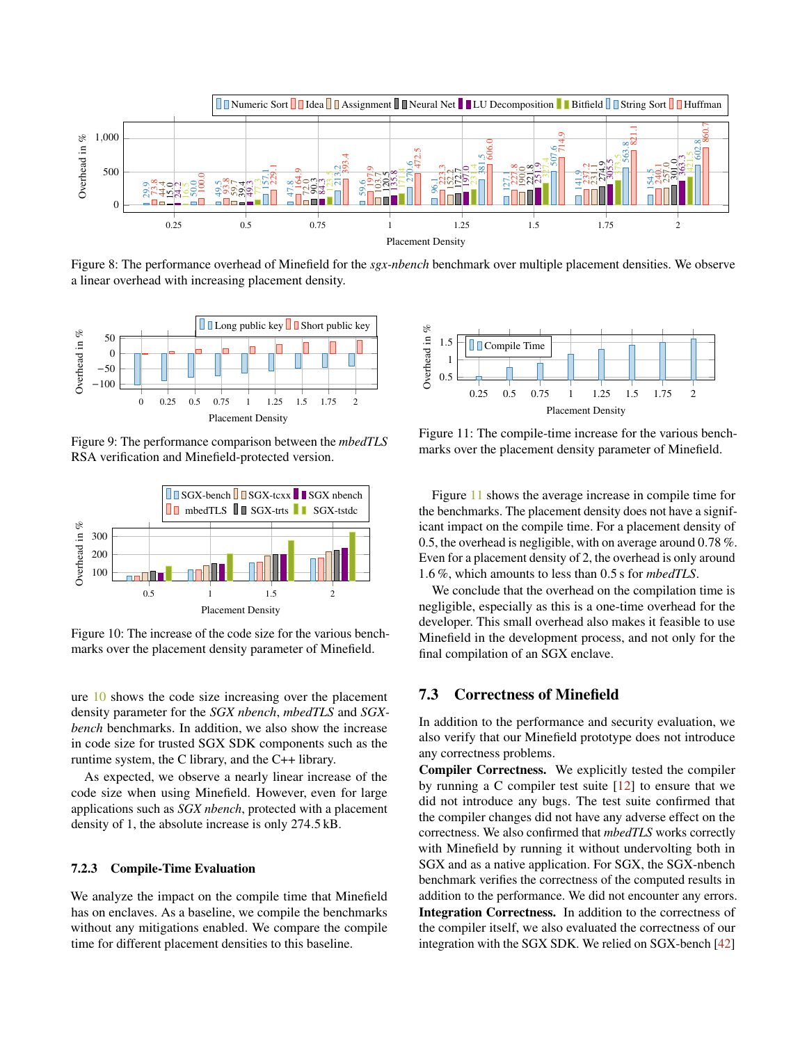<span id="page-11-2"></span>

Figure 8: The performance overhead of Minefield for the *sgx-nbench* benchmark over multiple placement densities. We observe a linear overhead with increasing placement density.

<span id="page-11-3"></span>

Figure 9: The performance comparison between the *mbedTLS* RSA verification and Minefield-protected version.

<span id="page-11-4"></span>

Figure 10: The increase of the code size for the various benchmarks over the placement density parameter of Minefield.

ure [10](#page-11-4) shows the code size increasing over the placement density parameter for the *SGX nbench*, *mbedTLS* and *SGXbench* benchmarks. In addition, we also show the increase in code size for trusted SGX SDK components such as the runtime system, the C library, and the C++ library.

As expected, we observe a nearly linear increase of the code size when using Minefield. However, even for large applications such as *SGX nbench*, protected with a placement density of 1, the absolute increase is only 274.5 kB.

#### <span id="page-11-1"></span>7.2.3 Compile-Time Evaluation

We analyze the impact on the compile time that Minefield has on enclaves. As a baseline, we compile the benchmarks without any mitigations enabled. We compare the compile time for different placement densities to this baseline.

<span id="page-11-5"></span>

Figure 11: The compile-time increase for the various benchmarks over the placement density parameter of Minefield.

Figure [11](#page-11-5) shows the average increase in compile time for the benchmarks. The placement density does not have a significant impact on the compile time. For a placement density of 0.5, the overhead is negligible, with on average around 0.78 %. Even for a placement density of 2, the overhead is only around 1.6 %, which amounts to less than 0.5 s for *mbedTLS*.

We conclude that the overhead on the compilation time is negligible, especially as this is a one-time overhead for the developer. This small overhead also makes it feasible to use Minefield in the development process, and not only for the final compilation of an SGX enclave.

## <span id="page-11-0"></span>7.3 Correctness of Minefield

In addition to the performance and security evaluation, we also verify that our Minefield prototype does not introduce any correctness problems.

Compiler Correctness. We explicitly tested the compiler by running a C compiler test suite  $[12]$  to ensure that we did not introduce any bugs. The test suite confirmed that the compiler changes did not have any adverse effect on the correctness. We also confirmed that *mbedTLS* works correctly with Minefield by running it without undervolting both in SGX and as a native application. For SGX, the SGX-nbench benchmark verifies the correctness of the computed results in addition to the performance. We did not encounter any errors. Integration Correctness. In addition to the correctness of the compiler itself, we also evaluated the correctness of our integration with the SGX SDK. We relied on SGX-bench [\[42\]](#page-15-18)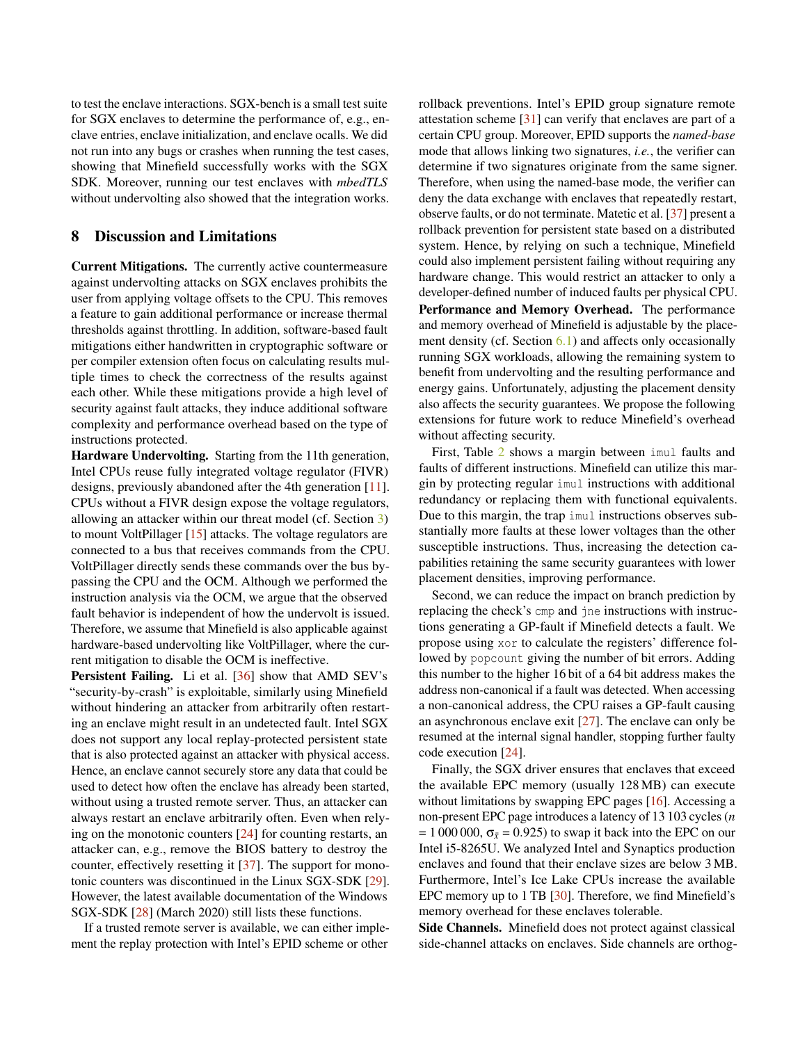to test the enclave interactions. SGX-bench is a small test suite for SGX enclaves to determine the performance of, e.g., enclave entries, enclave initialization, and enclave ocalls. We did not run into any bugs or crashes when running the test cases, showing that Minefield successfully works with the SGX SDK. Moreover, running our test enclaves with *mbedTLS* without undervolting also showed that the integration works.

#### <span id="page-12-0"></span>8 Discussion and Limitations

Current Mitigations. The currently active countermeasure against undervolting attacks on SGX enclaves prohibits the user from applying voltage offsets to the CPU. This removes a feature to gain additional performance or increase thermal thresholds against throttling. In addition, software-based fault mitigations either handwritten in cryptographic software or per compiler extension often focus on calculating results multiple times to check the correctness of the results against each other. While these mitigations provide a high level of security against fault attacks, they induce additional software complexity and performance overhead based on the type of instructions protected.

Hardware Undervolting. Starting from the 11th generation, Intel CPUs reuse fully integrated voltage regulator (FIVR) designs, previously abandoned after the 4th generation [\[11\]](#page-14-2). CPUs without a FIVR design expose the voltage regulators, allowing an attacker within our threat model (cf. Section [3\)](#page-2-0) to mount VoltPillager [\[15\]](#page-14-0) attacks. The voltage regulators are connected to a bus that receives commands from the CPU. VoltPillager directly sends these commands over the bus bypassing the CPU and the OCM. Although we performed the instruction analysis via the OCM, we argue that the observed fault behavior is independent of how the undervolt is issued. Therefore, we assume that Minefield is also applicable against hardware-based undervolting like VoltPillager, where the current mitigation to disable the OCM is ineffective.

Persistent Failing. Li et al. [\[36\]](#page-15-19) show that AMD SEV's "security-by-crash" is exploitable, similarly using Minefield without hindering an attacker from arbitrarily often restarting an enclave might result in an undetected fault. Intel SGX does not support any local replay-protected persistent state that is also protected against an attacker with physical access. Hence, an enclave cannot securely store any data that could be used to detect how often the enclave has already been started, without using a trusted remote server. Thus, an attacker can always restart an enclave arbitrarily often. Even when relying on the monotonic counters [\[24\]](#page-14-16) for counting restarts, an attacker can, e.g., remove the BIOS battery to destroy the counter, effectively resetting it [\[37\]](#page-15-11). The support for monotonic counters was discontinued in the Linux SGX-SDK [\[29\]](#page-14-21). However, the latest available documentation of the Windows SGX-SDK [\[28\]](#page-14-22) (March 2020) still lists these functions.

If a trusted remote server is available, we can either implement the replay protection with Intel's EPID scheme or other

rollback preventions. Intel's EPID group signature remote attestation scheme [\[31\]](#page-14-15) can verify that enclaves are part of a certain CPU group. Moreover, EPID supports the *named-base* mode that allows linking two signatures, *i.e.*, the verifier can determine if two signatures originate from the same signer. Therefore, when using the named-base mode, the verifier can deny the data exchange with enclaves that repeatedly restart, observe faults, or do not terminate. Matetic et al. [\[37\]](#page-15-11) present a rollback prevention for persistent state based on a distributed system. Hence, by relying on such a technique, Minefield could also implement persistent failing without requiring any hardware change. This would restrict an attacker to only a developer-defined number of induced faults per physical CPU. Performance and Memory Overhead. The performance and memory overhead of Minefield is adjustable by the place-ment density (cf. Section [6.1\)](#page-6-1) and affects only occasionally running SGX workloads, allowing the remaining system to benefit from undervolting and the resulting performance and energy gains. Unfortunately, adjusting the placement density also affects the security guarantees. We propose the following extensions for future work to reduce Minefield's overhead without affecting security.

First, Table [2](#page-16-0) shows a margin between imul faults and faults of different instructions. Minefield can utilize this margin by protecting regular imul instructions with additional redundancy or replacing them with functional equivalents. Due to this margin, the trap imul instructions observes substantially more faults at these lower voltages than the other susceptible instructions. Thus, increasing the detection capabilities retaining the same security guarantees with lower placement densities, improving performance.

Second, we can reduce the impact on branch prediction by replacing the check's cmp and jne instructions with instructions generating a GP-fault if Minefield detects a fault. We propose using xor to calculate the registers' difference followed by popcount giving the number of bit errors. Adding this number to the higher 16 bit of a 64 bit address makes the address non-canonical if a fault was detected. When accessing a non-canonical address, the CPU raises a GP-fault causing an asynchronous enclave exit [\[27\]](#page-14-6). The enclave can only be resumed at the internal signal handler, stopping further faulty code execution [\[24\]](#page-14-16).

Finally, the SGX driver ensures that enclaves that exceed the available EPC memory (usually 128 MB) can execute without limitations by swapping EPC pages [\[16\]](#page-14-5). Accessing a non-present EPC page introduces a latency of 13 103 cycles (*n*  $= 1000000$ ,  $\sigma_{\bar{x}} = 0.925$ ) to swap it back into the EPC on our Intel i5-8265U. We analyzed Intel and Synaptics production enclaves and found that their enclave sizes are below 3 MB. Furthermore, Intel's Ice Lake CPUs increase the available EPC memory up to 1 TB [\[30\]](#page-14-23). Therefore, we find Minefield's memory overhead for these enclaves tolerable.

Side Channels. Minefield does not protect against classical side-channel attacks on enclaves. Side channels are orthog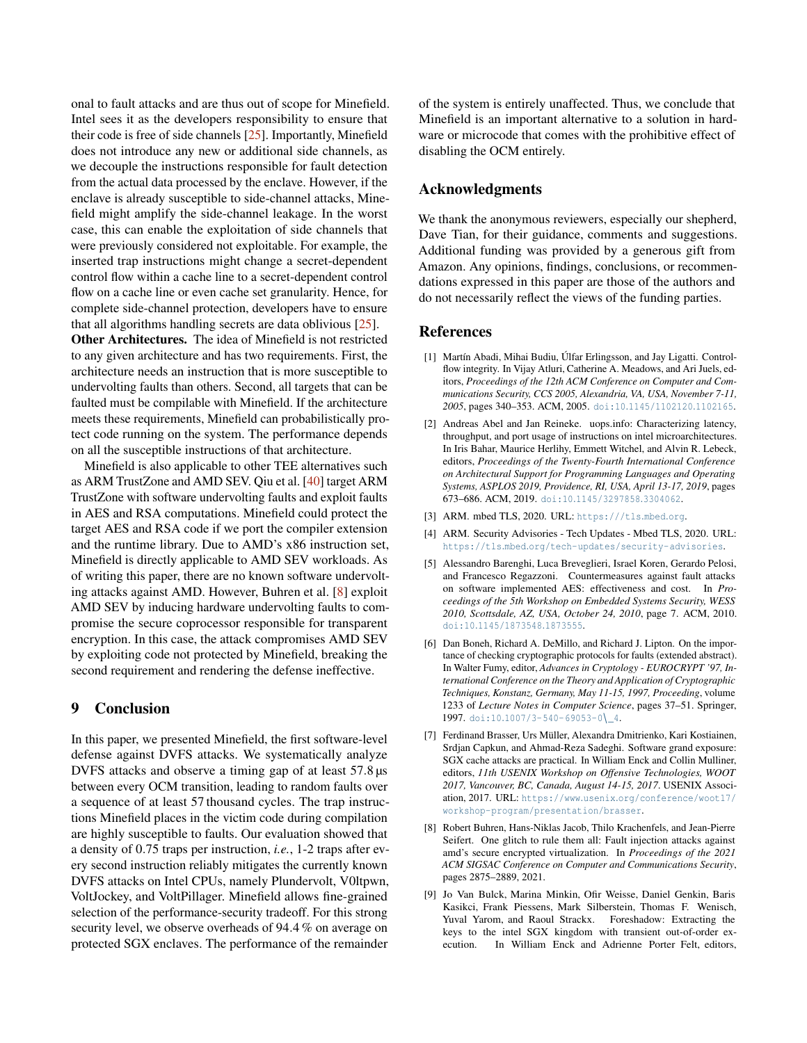onal to fault attacks and are thus out of scope for Minefield. Intel sees it as the developers responsibility to ensure that their code is free of side channels [\[25\]](#page-14-24). Importantly, Minefield does not introduce any new or additional side channels, as we decouple the instructions responsible for fault detection from the actual data processed by the enclave. However, if the enclave is already susceptible to side-channel attacks, Minefield might amplify the side-channel leakage. In the worst case, this can enable the exploitation of side channels that were previously considered not exploitable. For example, the inserted trap instructions might change a secret-dependent control flow within a cache line to a secret-dependent control flow on a cache line or even cache set granularity. Hence, for complete side-channel protection, developers have to ensure that all algorithms handling secrets are data oblivious [\[25\]](#page-14-24).

Other Architectures. The idea of Minefield is not restricted to any given architecture and has two requirements. First, the architecture needs an instruction that is more susceptible to undervolting faults than others. Second, all targets that can be faulted must be compilable with Minefield. If the architecture meets these requirements, Minefield can probabilistically protect code running on the system. The performance depends on all the susceptible instructions of that architecture.

Minefield is also applicable to other TEE alternatives such as ARM TrustZone and AMD SEV. Qiu et al. [\[40\]](#page-15-1) target ARM TrustZone with software undervolting faults and exploit faults in AES and RSA computations. Minefield could protect the target AES and RSA code if we port the compiler extension and the runtime library. Due to AMD's x86 instruction set, Minefield is directly applicable to AMD SEV workloads. As of writing this paper, there are no known software undervolting attacks against AMD. However, Buhren et al. [\[8\]](#page-13-9) exploit AMD SEV by inducing hardware undervolting faults to compromise the secure coprocessor responsible for transparent encryption. In this case, the attack compromises AMD SEV by exploiting code not protected by Minefield, breaking the second requirement and rendering the defense ineffective.

## <span id="page-13-0"></span>9 Conclusion

In this paper, we presented Minefield, the first software-level defense against DVFS attacks. We systematically analyze DVFS attacks and observe a timing gap of at least 57.8  $\mu$ s between every OCM transition, leading to random faults over a sequence of at least 57 thousand cycles. The trap instructions Minefield places in the victim code during compilation are highly susceptible to faults. Our evaluation showed that a density of 0.75 traps per instruction, *i.e.*, 1-2 traps after every second instruction reliably mitigates the currently known DVFS attacks on Intel CPUs, namely Plundervolt, V0ltpwn, VoltJockey, and VoltPillager. Minefield allows fine-grained selection of the performance-security tradeoff. For this strong security level, we observe overheads of 94.4 % on average on protected SGX enclaves. The performance of the remainder

of the system is entirely unaffected. Thus, we conclude that Minefield is an important alternative to a solution in hardware or microcode that comes with the prohibitive effect of disabling the OCM entirely.

## Acknowledgments

We thank the anonymous reviewers, especially our shepherd, Dave Tian, for their guidance, comments and suggestions. Additional funding was provided by a generous gift from Amazon. Any opinions, findings, conclusions, or recommendations expressed in this paper are those of the authors and do not necessarily reflect the views of the funding parties.

### References

- <span id="page-13-6"></span>[1] Martín Abadi, Mihai Budiu, Úlfar Erlingsson, and Jay Ligatti. Controlflow integrity. In Vijay Atluri, Catherine A. Meadows, and Ari Juels, editors, *Proceedings of the 12th ACM Conference on Computer and Communications Security, CCS 2005, Alexandria, VA, USA, November 7-11, 2005*, pages 340–353. ACM, 2005. doi:10.[1145/1102120](https://doi.org/10.1145/1102120.1102165).1102165.
- <span id="page-13-3"></span>[2] Andreas Abel and Jan Reineke. uops.info: Characterizing latency, throughput, and port usage of instructions on intel microarchitectures. In Iris Bahar, Maurice Herlihy, Emmett Witchel, and Alvin R. Lebeck, editors, *Proceedings of the Twenty-Fourth International Conference on Architectural Support for Programming Languages and Operating Systems, ASPLOS 2019, Providence, RI, USA, April 13-17, 2019*, pages 673–686. ACM, 2019. doi:10.[1145/3297858](https://doi.org/10.1145/3297858.3304062).3304062.
- <span id="page-13-7"></span>[3] ARM. mbed TLS, 2020. URL: [https:///tls](https:///tls.mbed.org).mbed.org.
- <span id="page-13-8"></span>[4] ARM. Security Advisories - Tech Updates - Mbed TLS, 2020. URL: https://tls.mbed.[org/tech-updates/security-advisories](https://tls.mbed.org/tech-updates/security-advisories).
- <span id="page-13-4"></span>[5] Alessandro Barenghi, Luca Breveglieri, Israel Koren, Gerardo Pelosi, and Francesco Regazzoni. Countermeasures against fault attacks on software implemented AES: effectiveness and cost. In *Proceedings of the 5th Workshop on Embedded Systems Security, WESS 2010, Scottsdale, AZ, USA, October 24, 2010*, page 7. ACM, 2010. doi:10.[1145/1873548](https://doi.org/10.1145/1873548.1873555).1873555.
- <span id="page-13-5"></span>[6] Dan Boneh, Richard A. DeMillo, and Richard J. Lipton. On the importance of checking cryptographic protocols for faults (extended abstract). In Walter Fumy, editor, *Advances in Cryptology - EUROCRYPT '97, International Conference on the Theory and Application of Cryptographic Techniques, Konstanz, Germany, May 11-15, 1997, Proceeding*, volume 1233 of *Lecture Notes in Computer Science*, pages 37–51. Springer, 1997. doi:10.[1007/3-540-69053-0](https://doi.org/10.1007/3-540-69053-0_4)\\_4.
- <span id="page-13-1"></span>[7] Ferdinand Brasser, Urs Müller, Alexandra Dmitrienko, Kari Kostiainen, Srdjan Capkun, and Ahmad-Reza Sadeghi. Software grand exposure: SGX cache attacks are practical. In William Enck and Collin Mulliner, editors, *11th USENIX Workshop on Offensive Technologies, WOOT 2017, Vancouver, BC, Canada, August 14-15, 2017*. USENIX Association, 2017. URL: https://www.usenix.[org/conference/woot17/](https://www.usenix.org/conference/woot17/workshop-program/presentation/brasser) [workshop-program/presentation/brasser](https://www.usenix.org/conference/woot17/workshop-program/presentation/brasser).
- <span id="page-13-9"></span>[8] Robert Buhren, Hans-Niklas Jacob, Thilo Krachenfels, and Jean-Pierre Seifert. One glitch to rule them all: Fault injection attacks against amd's secure encrypted virtualization. In *Proceedings of the 2021 ACM SIGSAC Conference on Computer and Communications Security*, pages 2875–2889, 2021.
- <span id="page-13-2"></span>[9] Jo Van Bulck, Marina Minkin, Ofir Weisse, Daniel Genkin, Baris Kasikci, Frank Piessens, Mark Silberstein, Thomas F. Wenisch, Yuval Yarom, and Raoul Strackx. Foreshadow: Extracting the keys to the intel SGX kingdom with transient out-of-order execution. In William Enck and Adrienne Porter Felt, editors,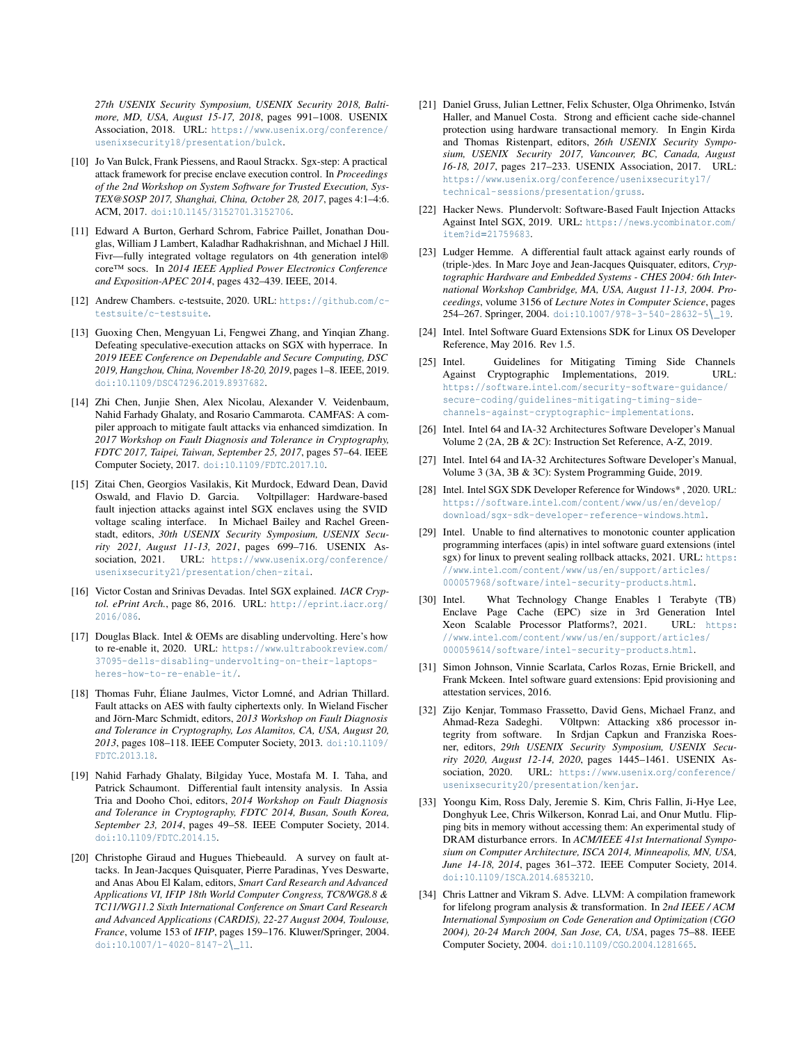*27th USENIX Security Symposium, USENIX Security 2018, Baltimore, MD, USA, August 15-17, 2018*, pages 991–1008. USENIX Association, 2018. URL: https://www.usenix.[org/conference/](https://www.usenix.org/conference/usenixsecurity18/presentation/bulck) [usenixsecurity18/presentation/bulck](https://www.usenix.org/conference/usenixsecurity18/presentation/bulck).

- <span id="page-14-7"></span>[10] Jo Van Bulck, Frank Piessens, and Raoul Strackx. Sgx-step: A practical attack framework for precise enclave execution control. In *Proceedings of the 2nd Workshop on System Software for Trusted Execution, Sys-TEX@SOSP 2017, Shanghai, China, October 28, 2017*, pages 4:1–4:6. ACM, 2017. doi:10.[1145/3152701](https://doi.org/10.1145/3152701.3152706).3152706.
- <span id="page-14-2"></span>[11] Edward A Burton, Gerhard Schrom, Fabrice Paillet, Jonathan Douglas, William J Lambert, Kaladhar Radhakrishnan, and Michael J Hill. Fivr—fully integrated voltage regulators on 4th generation intel® core™ socs. In *2014 IEEE Applied Power Electronics Conference and Exposition-APEC 2014*, pages 432–439. IEEE, 2014.
- <span id="page-14-20"></span>[12] Andrew Chambers. c-testsuite, 2020. URL: [https://github](https://github.com/c-testsuite/c-testsuite).com/c[testsuite/c-testsuite](https://github.com/c-testsuite/c-testsuite).
- <span id="page-14-8"></span>[13] Guoxing Chen, Mengyuan Li, Fengwei Zhang, and Yinqian Zhang. Defeating speculative-execution attacks on SGX with hyperrace. In *2019 IEEE Conference on Dependable and Secure Computing, DSC 2019, Hangzhou, China, November 18-20, 2019*, pages 1–8. IEEE, 2019. doi:10.[1109/DSC47296](https://doi.org/10.1109/DSC47296.2019.8937682).2019.8937682.
- <span id="page-14-17"></span>[14] Zhi Chen, Junjie Shen, Alex Nicolau, Alexander V. Veidenbaum, Nahid Farhady Ghalaty, and Rosario Cammarota. CAMFAS: A compiler approach to mitigate fault attacks via enhanced simdization. In *2017 Workshop on Fault Diagnosis and Tolerance in Cryptography, FDTC 2017, Taipei, Taiwan, September 25, 2017*, pages 57–64. IEEE Computer Society, 2017. doi:10.[1109/FDTC](https://doi.org/10.1109/FDTC.2017.10).2017.10.
- <span id="page-14-0"></span>[15] Zitai Chen, Georgios Vasilakis, Kit Murdock, Edward Dean, David Oswald, and Flavio D. Garcia. Voltpillager: Hardware-based fault injection attacks against intel SGX enclaves using the SVID voltage scaling interface. In Michael Bailey and Rachel Greenstadt, editors, *30th USENIX Security Symposium, USENIX Security 2021, August 11-13, 2021*, pages 699–716. USENIX Association, 2021. URL: https://www.usenix.[org/conference/](https://www.usenix.org/conference/usenixsecurity21/presentation/chen-zitai) [usenixsecurity21/presentation/chen-zitai](https://www.usenix.org/conference/usenixsecurity21/presentation/chen-zitai).
- <span id="page-14-5"></span>[16] Victor Costan and Srinivas Devadas. Intel SGX explained. *IACR Cryptol. ePrint Arch.*, page 86, 2016. URL: [http://eprint](http://eprint.iacr.org/2016/086).iacr.org/ [2016/086](http://eprint.iacr.org/2016/086).
- <span id="page-14-3"></span>[17] Douglas Black. Intel & OEMs are disabling undervolting. Here's how to re-enable it, 2020. URL: https://www.[ultrabookreview](https://www.ultrabookreview.com/37095-dells-disabling-undervolting-on-their-laptops-heres-how-to-re-enable-it/).com/ [37095-dells-disabling-undervolting-on-their-laptops](https://www.ultrabookreview.com/37095-dells-disabling-undervolting-on-their-laptops-heres-how-to-re-enable-it/)[heres-how-to-re-enable-it/](https://www.ultrabookreview.com/37095-dells-disabling-undervolting-on-their-laptops-heres-how-to-re-enable-it/).
- <span id="page-14-11"></span>[18] Thomas Fuhr, Éliane Jaulmes, Victor Lomné, and Adrian Thillard. Fault attacks on AES with faulty ciphertexts only. In Wieland Fischer and Jörn-Marc Schmidt, editors, *2013 Workshop on Fault Diagnosis and Tolerance in Cryptography, Los Alamitos, CA, USA, August 20, 2013*, pages 108–118. IEEE Computer Society, 2013. [doi:10](https://doi.org/10.1109/FDTC.2013.18).1109/ [FDTC](https://doi.org/10.1109/FDTC.2013.18).2013.18.
- <span id="page-14-13"></span>[19] Nahid Farhady Ghalaty, Bilgiday Yuce, Mostafa M. I. Taha, and Patrick Schaumont. Differential fault intensity analysis. In Assia Tria and Dooho Choi, editors, *2014 Workshop on Fault Diagnosis and Tolerance in Cryptography, FDTC 2014, Busan, South Korea, September 23, 2014*, pages 49–58. IEEE Computer Society, 2014. doi:10.[1109/FDTC](https://doi.org/10.1109/FDTC.2014.15).2014.15.
- <span id="page-14-10"></span>[20] Christophe Giraud and Hugues Thiebeauld. A survey on fault attacks. In Jean-Jacques Quisquater, Pierre Paradinas, Yves Deswarte, and Anas Abou El Kalam, editors, *Smart Card Research and Advanced Applications VI, IFIP 18th World Computer Congress, TC8/WG8.8 & TC11/WG11.2 Sixth International Conference on Smart Card Research and Advanced Applications (CARDIS), 22-27 August 2004, Toulouse, France*, volume 153 of *IFIP*, pages 159–176. Kluwer/Springer, 2004. doi:10.[1007/1-4020-8147-2](https://doi.org/10.1007/1-4020-8147-2_11)\\_11.
- <span id="page-14-9"></span>[21] Daniel Gruss, Julian Lettner, Felix Schuster, Olga Ohrimenko, István Haller, and Manuel Costa. Strong and efficient cache side-channel protection using hardware transactional memory. In Engin Kirda and Thomas Ristenpart, editors, *26th USENIX Security Symposium, USENIX Security 2017, Vancouver, BC, Canada, August 16-18, 2017*, pages 217–233. USENIX Association, 2017. URL: https://www.usenix.[org/conference/usenixsecurity17/](https://www.usenix.org/conference/usenixsecurity17/technical-sessions/presentation/gruss) [technical-sessions/presentation/gruss](https://www.usenix.org/conference/usenixsecurity17/technical-sessions/presentation/gruss).
- <span id="page-14-4"></span>[22] Hacker News. Plundervolt: Software-Based Fault Injection Attacks Against Intel SGX, 2019. URL: [https://news](https://news.ycombinator.com/item?id=21759683).ycombinator.com/ item?id=[21759683](https://news.ycombinator.com/item?id=21759683).
- <span id="page-14-12"></span>[23] Ludger Hemme. A differential fault attack against early rounds of (triple-)des. In Marc Joye and Jean-Jacques Quisquater, editors, *Cryptographic Hardware and Embedded Systems - CHES 2004: 6th International Workshop Cambridge, MA, USA, August 11-13, 2004. Proceedings*, volume 3156 of *Lecture Notes in Computer Science*, pages 254–267. Springer, 2004. doi:10.[1007/978-3-540-28632-5](https://doi.org/10.1007/978-3-540-28632-5_19)\\_19.
- <span id="page-14-16"></span>[24] Intel. Intel Software Guard Extensions SDK for Linux OS Developer Reference, May 2016. Rev 1.5.
- <span id="page-14-24"></span>[25] Intel. Guidelines for Mitigating Timing Side Channels Against Cryptographic Implementations, 2019. URL: https://software.intel.[com/security-software-guidance/](https://software.intel.com/security-software-guidance/secure-coding/guidelines-mitigating-timing-side-channels-against-cryptographic-implementations) [secure-coding/guidelines-mitigating-timing-side](https://software.intel.com/security-software-guidance/secure-coding/guidelines-mitigating-timing-side-channels-against-cryptographic-implementations)[channels-against-cryptographic-implementations](https://software.intel.com/security-software-guidance/secure-coding/guidelines-mitigating-timing-side-channels-against-cryptographic-implementations).
- <span id="page-14-19"></span>[26] Intel. Intel 64 and IA-32 Architectures Software Developer's Manual Volume 2 (2A, 2B & 2C): Instruction Set Reference, A-Z, 2019.
- <span id="page-14-6"></span>[27] Intel. Intel 64 and IA-32 Architectures Software Developer's Manual, Volume 3 (3A, 3B & 3C): System Programming Guide, 2019.
- <span id="page-14-22"></span>[28] Intel. Intel SGX SDK Developer Reference for Windows\*, 2020. URL: https://software.intel.[com/content/www/us/en/develop/](https://software.intel.com/content/www/us/en/develop/download/sgx-sdk-developer-reference-windows.html) [download/sgx-sdk-developer-reference-windows](https://software.intel.com/content/www/us/en/develop/download/sgx-sdk-developer-reference-windows.html).html.
- <span id="page-14-21"></span>[29] Intel. Unable to find alternatives to monotonic counter application programming interfaces (apis) in intel software guard extensions (intel sgx) for linux to prevent sealing rollback attacks, 2021. URL: [https:](https://www.intel.com/content/www/us/en/support/articles/000057968/software/intel-security-products.html) //www.intel.[com/content/www/us/en/support/articles/](https://www.intel.com/content/www/us/en/support/articles/000057968/software/intel-security-products.html) [000057968/software/intel-security-products](https://www.intel.com/content/www/us/en/support/articles/000057968/software/intel-security-products.html).html.
- <span id="page-14-23"></span>[30] Intel. What Technology Change Enables 1 Terabyte (TB) Enclave Page Cache (EPC) size in 3rd Generation Intel Xeon Scalable Processor Platforms?, 2021. URL: [https:](https://www.intel.com/content/www/us/en/support/articles/000059614/software/intel-security-products.html) //www.intel.[com/content/www/us/en/support/articles/](https://www.intel.com/content/www/us/en/support/articles/000059614/software/intel-security-products.html) [000059614/software/intel-security-products](https://www.intel.com/content/www/us/en/support/articles/000059614/software/intel-security-products.html).html.
- <span id="page-14-15"></span>[31] Simon Johnson, Vinnie Scarlata, Carlos Rozas, Ernie Brickell, and Frank Mckeen. Intel software guard extensions: Epid provisioning and attestation services, 2016.
- <span id="page-14-1"></span>[32] Zijo Kenjar, Tommaso Frassetto, David Gens, Michael Franz, and Ahmad-Reza Sadeghi. V0ltpwn: Attacking x86 processor integrity from software. In Srdjan Capkun and Franziska Roesner, editors, *29th USENIX Security Symposium, USENIX Security 2020, August 12-14, 2020*, pages 1445–1461. USENIX Association, 2020. URL: https://www.usenix.[org/conference/](https://www.usenix.org/conference/usenixsecurity20/presentation/kenjar) [usenixsecurity20/presentation/kenjar](https://www.usenix.org/conference/usenixsecurity20/presentation/kenjar).
- <span id="page-14-14"></span>[33] Yoongu Kim, Ross Daly, Jeremie S. Kim, Chris Fallin, Ji-Hye Lee, Donghyuk Lee, Chris Wilkerson, Konrad Lai, and Onur Mutlu. Flipping bits in memory without accessing them: An experimental study of DRAM disturbance errors. In *ACM/IEEE 41st International Symposium on Computer Architecture, ISCA 2014, Minneapolis, MN, USA, June 14-18, 2014*, pages 361–372. IEEE Computer Society, 2014. doi:10.[1109/ISCA](https://doi.org/10.1109/ISCA.2014.6853210).2014.6853210.
- <span id="page-14-18"></span>[34] Chris Lattner and Vikram S. Adve. LLVM: A compilation framework for lifelong program analysis & transformation. In *2nd IEEE / ACM International Symposium on Code Generation and Optimization (CGO 2004), 20-24 March 2004, San Jose, CA, USA*, pages 75–88. IEEE Computer Society, 2004. doi:10.[1109/CGO](https://doi.org/10.1109/CGO.2004.1281665).2004.1281665.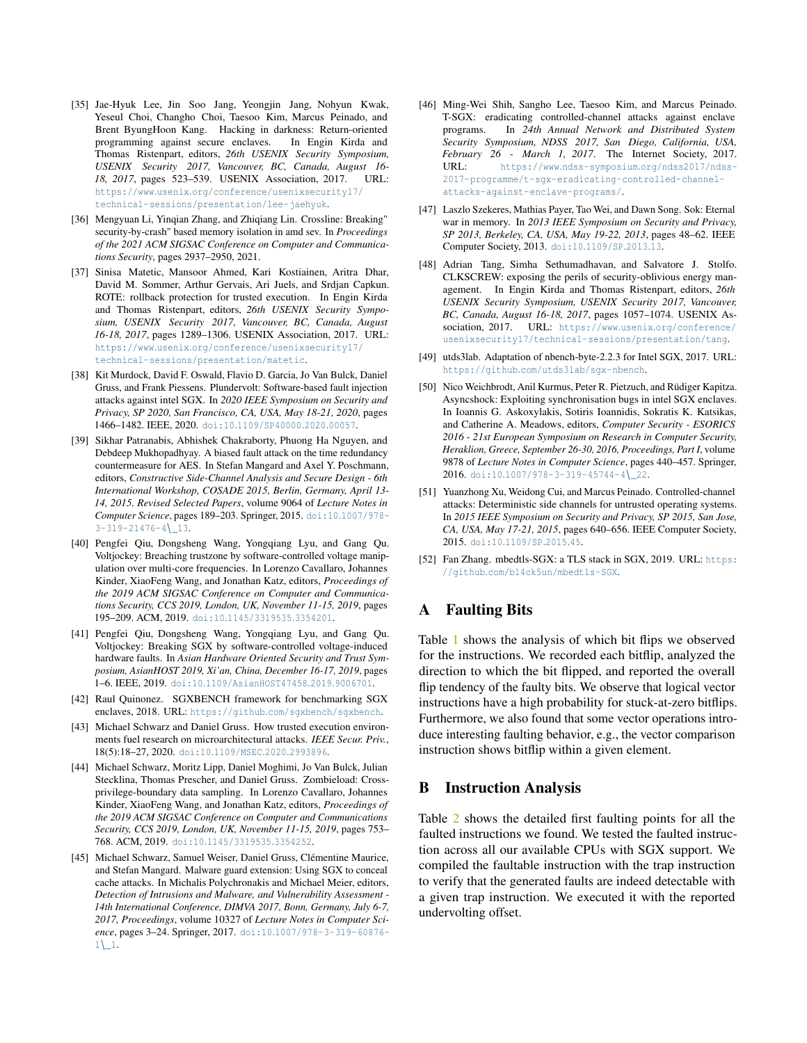- <span id="page-15-4"></span>[35] Jae-Hyuk Lee, Jin Soo Jang, Yeongjin Jang, Nohyun Kwak, Yeseul Choi, Changho Choi, Taesoo Kim, Marcus Peinado, and Brent ByungHoon Kang. Hacking in darkness: Return-oriented programming against secure enclaves. In Engin Kirda and Thomas Ristenpart, editors, *26th USENIX Security Symposium, USENIX Security 2017, Vancouver, BC, Canada, August 16- 18, 2017*, pages 523–539. USENIX Association, 2017. URL: https://www.usenix.[org/conference/usenixsecurity17/](https://www.usenix.org/conference/usenixsecurity17/technical-sessions/presentation/lee-jaehyuk) [technical-sessions/presentation/lee-jaehyuk](https://www.usenix.org/conference/usenixsecurity17/technical-sessions/presentation/lee-jaehyuk).
- <span id="page-15-19"></span>[36] Mengyuan Li, Yinqian Zhang, and Zhiqiang Lin. Crossline: Breaking" security-by-crash" based memory isolation in amd sev. In *Proceedings of the 2021 ACM SIGSAC Conference on Computer and Communications Security*, pages 2937–2950, 2021.
- <span id="page-15-11"></span>[37] Sinisa Matetic, Mansoor Ahmed, Kari Kostiainen, Aritra Dhar, David M. Sommer, Arthur Gervais, Ari Juels, and Srdjan Capkun. ROTE: rollback protection for trusted execution. In Engin Kirda and Thomas Ristenpart, editors, *26th USENIX Security Symposium, USENIX Security 2017, Vancouver, BC, Canada, August 16-18, 2017*, pages 1289–1306. USENIX Association, 2017. URL: https://www.usenix.[org/conference/usenixsecurity17/](https://www.usenix.org/conference/usenixsecurity17/technical-sessions/presentation/matetic) [technical-sessions/presentation/matetic](https://www.usenix.org/conference/usenixsecurity17/technical-sessions/presentation/matetic).
- <span id="page-15-0"></span>[38] Kit Murdock, David F. Oswald, Flavio D. Garcia, Jo Van Bulck, Daniel Gruss, and Frank Piessens. Plundervolt: Software-based fault injection attacks against intel SGX. In *2020 IEEE Symposium on Security and Privacy, SP 2020, San Francisco, CA, USA, May 18-21, 2020*, pages 1466–1482. IEEE, 2020. doi:10.[1109/SP40000](https://doi.org/10.1109/SP40000.2020.00057).2020.00057.
- <span id="page-15-13"></span>[39] Sikhar Patranabis, Abhishek Chakraborty, Phuong Ha Nguyen, and Debdeep Mukhopadhyay. A biased fault attack on the time redundancy countermeasure for AES. In Stefan Mangard and Axel Y. Poschmann, editors, *Constructive Side-Channel Analysis and Secure Design - 6th International Workshop, COSADE 2015, Berlin, Germany, April 13- 14, 2015. Revised Selected Papers*, volume 9064 of *Lecture Notes in Computer Science*, pages 189–203. Springer, 2015. doi:10.[1007/978-](https://doi.org/10.1007/978-3-319-21476-4_13) [3-319-21476-4](https://doi.org/10.1007/978-3-319-21476-4_13)\\_13.
- <span id="page-15-1"></span>[40] Pengfei Qiu, Dongsheng Wang, Yongqiang Lyu, and Gang Qu. Voltjockey: Breaching trustzone by software-controlled voltage manipulation over multi-core frequencies. In Lorenzo Cavallaro, Johannes Kinder, XiaoFeng Wang, and Jonathan Katz, editors, *Proceedings of the 2019 ACM SIGSAC Conference on Computer and Communications Security, CCS 2019, London, UK, November 11-15, 2019*, pages 195–209. ACM, 2019. doi:10.[1145/3319535](https://doi.org/10.1145/3319535.3354201).3354201.
- <span id="page-15-2"></span>[41] Pengfei Qiu, Dongsheng Wang, Yongqiang Lyu, and Gang Qu. Voltjockey: Breaking SGX by software-controlled voltage-induced hardware faults. In *Asian Hardware Oriented Security and Trust Symposium, AsianHOST 2019, Xi'an, China, December 16-17, 2019*, pages 1–6. IEEE, 2019. doi:10.[1109/AsianHOST47458](https://doi.org/10.1109/AsianHOST47458.2019.9006701).2019.9006701.
- <span id="page-15-18"></span>[42] Raul Quinonez. SGXBENCH framework for benchmarking SGX enclaves, 2018. URL: https://github.[com/sgxbench/sgxbench](https://github.com/sgxbench/sgxbench).
- <span id="page-15-8"></span>[43] Michael Schwarz and Daniel Gruss. How trusted execution environments fuel research on microarchitectural attacks. *IEEE Secur. Priv.*, 18(5):18–27, 2020. doi:10.[1109/MSEC](https://doi.org/10.1109/MSEC.2020.2993896).2020.2993896.
- <span id="page-15-9"></span>[44] Michael Schwarz, Moritz Lipp, Daniel Moghimi, Jo Van Bulck, Julian Stecklina, Thomas Prescher, and Daniel Gruss. Zombieload: Crossprivilege-boundary data sampling. In Lorenzo Cavallaro, Johannes Kinder, XiaoFeng Wang, and Jonathan Katz, editors, *Proceedings of the 2019 ACM SIGSAC Conference on Computer and Communications Security, CCS 2019, London, UK, November 11-15, 2019*, pages 753– 768. ACM, 2019. doi:10.[1145/3319535](https://doi.org/10.1145/3319535.3354252).3354252.
- <span id="page-15-6"></span>[45] Michael Schwarz, Samuel Weiser, Daniel Gruss, Clémentine Maurice, and Stefan Mangard. Malware guard extension: Using SGX to conceal cache attacks. In Michalis Polychronakis and Michael Meier, editors, *Detection of Intrusions and Malware, and Vulnerability Assessment - 14th International Conference, DIMVA 2017, Bonn, Germany, July 6-7, 2017, Proceedings*, volume 10327 of *Lecture Notes in Computer Science*, pages 3–24. Springer, 2017. doi:10.[1007/978-3-319-60876-](https://doi.org/10.1007/978-3-319-60876-1_1)  $1\left\{ \_\right\}$ .
- <span id="page-15-10"></span>[46] Ming-Wei Shih, Sangho Lee, Taesoo Kim, and Marcus Peinado. T-SGX: eradicating controlled-channel attacks against enclave programs. In *24th Annual Network and Distributed System Security Symposium, NDSS 2017, San Diego, California, USA, February 26 - March 1, 2017*. The Internet Society, 2017. URL: https://www.ndss-symposium.[org/ndss2017/ndss-](https://www.ndss-symposium.org/ndss2017/ndss-2017-programme/t-sgx-eradicating-controlled-channel-attacks-against-enclave-programs/)[2017-programme/t-sgx-eradicating-controlled-channel](https://www.ndss-symposium.org/ndss2017/ndss-2017-programme/t-sgx-eradicating-controlled-channel-attacks-against-enclave-programs/)[attacks-against-enclave-programs/](https://www.ndss-symposium.org/ndss2017/ndss-2017-programme/t-sgx-eradicating-controlled-channel-attacks-against-enclave-programs/).
- <span id="page-15-15"></span>[47] Laszlo Szekeres, Mathias Payer, Tao Wei, and Dawn Song. Sok: Eternal war in memory. In *2013 IEEE Symposium on Security and Privacy, SP 2013, Berkeley, CA, USA, May 19-22, 2013*, pages 48–62. IEEE Computer Society, 2013. doi:10.[1109/SP](https://doi.org/10.1109/SP.2013.13).2013.13.
- <span id="page-15-3"></span>[48] Adrian Tang, Simha Sethumadhavan, and Salvatore J. Stolfo. CLKSCREW: exposing the perils of security-oblivious energy management. In Engin Kirda and Thomas Ristenpart, editors, *26th USENIX Security Symposium, USENIX Security 2017, Vancouver, BC, Canada, August 16-18, 2017*, pages 1057–1074. USENIX Association, 2017. URL: https://www.usenix.[org/conference/](https://www.usenix.org/conference/usenixsecurity17/technical-sessions/presentation/tang) [usenixsecurity17/technical-sessions/presentation/tang](https://www.usenix.org/conference/usenixsecurity17/technical-sessions/presentation/tang).
- <span id="page-15-17"></span>[49] utds3lab. Adaptation of nbench-byte-2.2.3 for Intel SGX, 2017. URL: https://github.[com/utds3lab/sgx-nbench](https://github.com/utds3lab/sgx-nbench).
- <span id="page-15-5"></span>[50] Nico Weichbrodt, Anil Kurmus, Peter R. Pietzuch, and Rüdiger Kapitza. Asyncshock: Exploiting synchronisation bugs in intel SGX enclaves. In Ioannis G. Askoxylakis, Sotiris Ioannidis, Sokratis K. Katsikas, and Catherine A. Meadows, editors, *Computer Security - ESORICS 2016 - 21st European Symposium on Research in Computer Security, Heraklion, Greece, September 26-30, 2016, Proceedings, Part I*, volume 9878 of *Lecture Notes in Computer Science*, pages 440–457. Springer, 2016. doi:10.[1007/978-3-319-45744-4](https://doi.org/10.1007/978-3-319-45744-4_22)\ 22.
- <span id="page-15-7"></span>[51] Yuanzhong Xu, Weidong Cui, and Marcus Peinado. Controlled-channel attacks: Deterministic side channels for untrusted operating systems. In *2015 IEEE Symposium on Security and Privacy, SP 2015, San Jose, CA, USA, May 17-21, 2015*, pages 640–656. IEEE Computer Society, 2015. doi:10.[1109/SP](https://doi.org/10.1109/SP.2015.45).2015.45.
- <span id="page-15-16"></span>[52] Fan Zhang. mbedtls-SGX: a TLS stack in SGX, 2019. URL: [https:](https://github.com/bl4ck5un/mbedtls-SGX) //github.[com/bl4ck5un/mbedtls-SGX](https://github.com/bl4ck5un/mbedtls-SGX).

# <span id="page-15-14"></span>A Faulting Bits

Table [1](#page-16-1) shows the analysis of which bit flips we observed for the instructions. We recorded each bitflip, analyzed the direction to which the bit flipped, and reported the overall flip tendency of the faulty bits. We observe that logical vector instructions have a high probability for stuck-at-zero bitflips. Furthermore, we also found that some vector operations introduce interesting faulting behavior, e.g., the vector comparison instruction shows bitflip within a given element.

## <span id="page-15-12"></span>B Instruction Analysis

Table [2](#page-16-0) shows the detailed first faulting points for all the faulted instructions we found. We tested the faulted instruction across all our available CPUs with SGX support. We compiled the faultable instruction with the trap instruction to verify that the generated faults are indeed detectable with a given trap instruction. We executed it with the reported undervolting offset.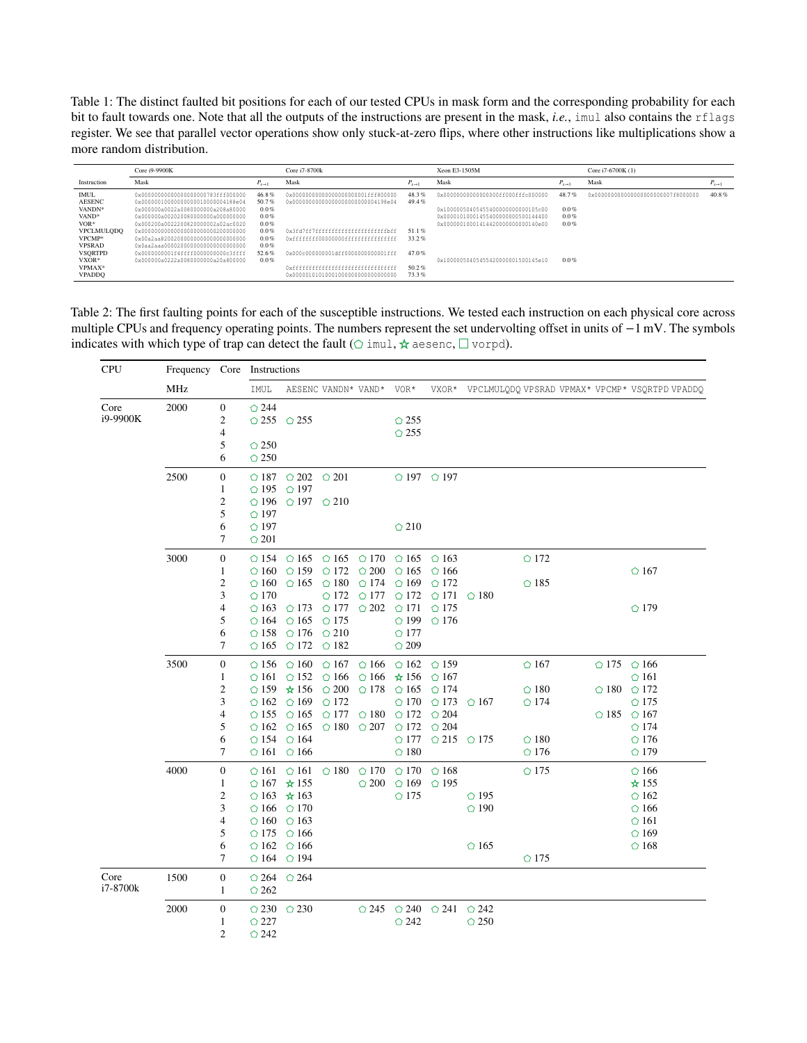<span id="page-16-1"></span>Table 1: The distinct faulted bit positions for each of our tested CPUs in mask form and the corresponding probability for each bit to fault towards one. Note that all the outputs of the instructions are present in the mask, *i.e.*, imul also contains the rflags register. We see that parallel vector operations show only stuck-at-zero flips, where other instructions like multiplications show a more random distribution.

|                                                                                                                                                  | Core i9-9900K                                                                                                                                                                                                                                                                                                                                                                                 | Core i7-8700k                                                                                  | Xeon E3-1505M                                                                                                                                             | Core i7-6700K (1)                         |                                                                                                                                                                                              |                                                |                                     |                      |
|--------------------------------------------------------------------------------------------------------------------------------------------------|-----------------------------------------------------------------------------------------------------------------------------------------------------------------------------------------------------------------------------------------------------------------------------------------------------------------------------------------------------------------------------------------------|------------------------------------------------------------------------------------------------|-----------------------------------------------------------------------------------------------------------------------------------------------------------|-------------------------------------------|----------------------------------------------------------------------------------------------------------------------------------------------------------------------------------------------|------------------------------------------------|-------------------------------------|----------------------|
| Instruction                                                                                                                                      | Mask                                                                                                                                                                                                                                                                                                                                                                                          | $P_{x\to 1}$                                                                                   | Mask                                                                                                                                                      | $P_{r\rightarrow 1}$                      | Mask                                                                                                                                                                                         | $P_{r\rightarrow 1}$                           | Mask                                | $P_{x\rightarrow 1}$ |
| <b>IMUL</b><br><b>AESENC</b><br>VANDN <sup>*</sup><br>VAND*<br>$VOR*$<br><b>VPCLMULQDQ</b><br>VPCMP*<br><b>VPSRAD</b><br><b>VSORTPD</b><br>VXOR* | 0x000000000000000000000783fff000000<br>0x000000100000000000010000004188e04<br>0x000000a0022a0080000000a208a80000<br>0x000000a002020080000000a000000000<br>0x000200a0022200820000002a02ac0020<br>0x000000000000000000000000200000000<br>0x00a2aa820020000000000000000000000<br>0x0aa2aaa00002000000000000000000000<br>0x0000000001f4ffff0000000000c3ffff<br>0x000000a0222a0080000000a20a800000 | 46.8%<br>50.7%<br>$0.0\%$<br>0.0%<br>$0.0\%$<br>0.0%<br>$0.0\%$<br>$0.0\%$<br>52.6%<br>$0.0\%$ | 0x000000000000000000000001fff800000<br>0x0000000000000000000000000004198e04<br>0xffffffff00000000ffffffffffffffffff<br>0x000c000000001dff0000000000001fff | 48.3%<br>49.4%<br>51.1%<br>33.2%<br>47.0% | 0x000000000000000000ff000fffc000000<br>0x100000504054554000000000000105c00<br>0x00001010001455400000000500144400<br>0x00000010001414420000000000140e00<br>0x10000050405455420000001500145e10 | 48.7%<br>$0.0\%$<br>$0.0\%$<br>$0.0\%$<br>0.0% | 0x0000000000000000000000007f8000000 | 40.8%                |
| VPMAX*<br><b>VPADDO</b>                                                                                                                          |                                                                                                                                                                                                                                                                                                                                                                                               |                                                                                                | 0x000001010100010000000000000000000                                                                                                                       | 50.2%<br>73.3%                            |                                                                                                                                                                                              |                                                |                                     |                      |

<span id="page-16-0"></span>Table 2: The first faulting points for each of the susceptible instructions. We tested each instruction on each physical core across multiple CPUs and frequency operating points. The numbers represent the set undervolting offset in units of −1 mV. The symbols indicates with which type of trap can detect the fault ( $\circ$  imul,  $\star$  aesenc,  $\square$  vorpd).

| <b>CPU</b>       | MHz          |                                                                                          | Frequency Core Instructions                                                                                                      |                                                                                                                                                                                                 |                                                                                                                                                                                     |                                                                      |                                                                                                                                  |                                                                                                                         |                                                                                                                         |  |                                                                                           |                                                                                                             |
|------------------|--------------|------------------------------------------------------------------------------------------|----------------------------------------------------------------------------------------------------------------------------------|-------------------------------------------------------------------------------------------------------------------------------------------------------------------------------------------------|-------------------------------------------------------------------------------------------------------------------------------------------------------------------------------------|----------------------------------------------------------------------|----------------------------------------------------------------------------------------------------------------------------------|-------------------------------------------------------------------------------------------------------------------------|-------------------------------------------------------------------------------------------------------------------------|--|-------------------------------------------------------------------------------------------|-------------------------------------------------------------------------------------------------------------|
|                  |              |                                                                                          | IMUL                                                                                                                             |                                                                                                                                                                                                 | AESENC VANDN* VAND* VOR*                                                                                                                                                            |                                                                      |                                                                                                                                  |                                                                                                                         |                                                                                                                         |  |                                                                                           | VXOR* VPCLMULQDQ VPSRAD VPMAX* VPCMP* VSQRTPD VPADDQ                                                        |
| Core<br>i9-9900K | 2000         | $\boldsymbol{0}$<br>$\overline{2}$<br>$\overline{4}$<br>5<br>6                           | $\bigcirc$ 244<br>$\bigcirc$ 255 $\bigcirc$ 255<br>$\circ$ 250<br>$\bigcirc$ 250                                                 |                                                                                                                                                                                                 |                                                                                                                                                                                     |                                                                      | $\bigcirc$ 255<br>$\circ$ 255                                                                                                    |                                                                                                                         |                                                                                                                         |  |                                                                                           |                                                                                                             |
|                  | 2500         | $\boldsymbol{0}$<br>$\mathbf{1}$<br>$\overline{c}$<br>5<br>6<br>7                        | $\bigcirc$ 187<br>$\bigcirc$ 195<br>$\bigcirc$ 196<br>$\bigcirc$ 197<br>$\bigcirc$ 197<br>$\bigcirc$ 201                         | $\bigcirc$ 202 $\bigcirc$ 201<br>$\bigcirc$ 197<br>$\bigcirc$ 197 $\bigcirc$ 210                                                                                                                |                                                                                                                                                                                     |                                                                      | $\bigcirc$ 210                                                                                                                   | $\bigcirc$ 197 $\bigcirc$ 197                                                                                           |                                                                                                                         |  |                                                                                           |                                                                                                             |
|                  | 3000         | $\boldsymbol{0}$<br>1<br>$\overline{c}$<br>3<br>$\overline{4}$<br>5<br>6<br>7            | $\bigcirc$ 154<br>$\circ$ 160<br>$\circ$ 160<br>$\bigcirc$ 170<br>$\bigcirc$ 163<br>$\circ$ 164<br>$\bigcirc$ 158<br>$\circ$ 165 | $\bigcirc$ 159<br>$\circ$ 165<br>$\bigcirc$ 173<br>$\bigcirc$ 165<br>$\bigcirc$ 176<br>$\bigcirc$ 172 $\bigcirc$ 182                                                                            | $\bigcirc$ 165 $\bigcirc$ 165 $\bigcirc$ 170 $\bigcirc$ 165 $\bigcirc$ 163<br>$\bigcirc$ 172<br>$\bigcirc$ 180<br>$\bigcirc$ 172<br>$\circ$ 177<br>$\bigcirc$ 175<br>$\bigcirc$ 210 | $\bigcirc$ 200<br>$\bigcirc$ 174<br>$\bigcirc$ 177<br>$\bigcirc$ 202 | $\bigcirc$ 165<br>$\bigcirc$ 169<br>$\bigcirc$ 172<br>$\bigcirc$ 171<br>$\bigcirc$ 199<br>$\bigcirc$ 177<br>$\bigcirc$ 209       | $\circ$ 166<br>$\bigcirc$ 172<br>$\bigcirc$ 171 $\bigcirc$ 180<br>$\bigcirc$ 175<br>$\bigcirc$ 176                      | $\bigcirc$ 172<br>$\bigcirc$ 185                                                                                        |  |                                                                                           | $\bigcirc$ 167<br>$\bigcirc$ 179                                                                            |
|                  | 3500         | $\boldsymbol{0}$<br>$\mathbf{1}$<br>$\overline{c}$<br>3<br>$\overline{4}$<br>5<br>6<br>7 | $\circ$ 156<br>$\bigcirc$ 161<br>$\circ$ 162<br>$\bigcirc$ 155<br>$\bigcirc$ 154                                                 | $\circ$ 160<br>$\bigcirc$ 152<br>$\bigcirc$ 159 $\star$ 156<br>$\bigcirc$ 169<br>$\circ$ 165<br>$\bigcirc$ 162 $\bigcirc$ 165 $\bigcirc$ 180<br>$\bigcirc$ 164<br>$\bigcirc$ 161 $\bigcirc$ 166 | $\bigcirc$ 167 $\bigcirc$ 166<br>$\bigcirc$ 166<br>$\circ$ 200<br>$\bigcirc$ 172<br>$\bigcirc$ 177                                                                                  | $\circ$ 166<br>$\bigcirc$ 178<br>$\circ$ 180<br>$\bigcirc$ 207       | $\star 156$<br>$\bigcirc$ 165<br>$\circ$ 170<br>$\bigcirc$ 172<br>$\bigcirc$ 172 $\bigcirc$ 204<br>$\bigcirc$ 177<br>$\circ$ 180 | $\bigcirc$ 162 $\bigcirc$ 159<br>$\bigcirc$ 167<br>$\bigcirc$ 174<br>$\bigcirc$ 173<br>$\bigcirc$ 204<br>$\bigcirc$ 215 | $\circ$ 167<br>$\bigcirc$ 180<br>$\bigcirc$ 174<br>$\bigcirc$ 167<br>$\bigcirc$ 180<br>$\bigcirc$ 175<br>$\bigcirc$ 176 |  | $\bigcirc$ 175 $\bigcirc$ 166<br>$\bigcirc$ 180 $\bigcirc$ 172<br>$\circ$ 185 $\circ$ 167 | $\bigcirc$ 161<br>$\bigcirc$ 175<br>$\bigcirc$ 174<br>$\bigcirc$ 176<br>$\bigcirc$ 179                      |
|                  | 4000         | $\boldsymbol{0}$<br>$\mathbf{1}$<br>$\overline{c}$<br>3<br>$\overline{4}$<br>5<br>6<br>7 | $\circ$ 161<br>$\bigcirc$ 167 $\star$ 155<br>$\circ$ 166<br>$\circ$ 160<br>$\bigcirc$ 175<br>$\circ$ 162                         | $\circ$ 161<br>$\bigcirc$ 163 $\star$ 163<br>$\bigcirc$ 170<br>$\bigcirc$ 163<br>$\circ$ 166<br>$\bigcirc$ 166<br>$\bigcirc$ 164 $\bigcirc$ 194                                                 | $\bigcirc$ 180                                                                                                                                                                      | $\bigcirc$ 170<br>$\circ$ 200                                        | $\bigcirc$ 170<br>$\circ$ 169<br>$\bigcirc$ 175                                                                                  | $\bigcirc$ 168<br>$\bigcirc$ 195                                                                                        | $\bigcirc$ 175<br>$\circ$ 195<br>$\circ$ 190<br>$\circ$ 165<br>$\bigcirc$ 175                                           |  |                                                                                           | $\circ$ 166<br>☆ 155<br>$\bigcirc$ 162<br>$\circ$ 166<br>$\bigcirc$ 161<br>$\bigcirc$ 169<br>$\bigcirc$ 168 |
| Core<br>i7-8700k | 1500<br>2000 | $\boldsymbol{0}$<br>$\mathbf{1}$<br>$\boldsymbol{0}$                                     | $\bigcirc$ 264<br>$\bigcirc$ 262<br>$\bigcirc$ 230                                                                               | $\bigcirc$ 264<br>$\bigcirc$ 230                                                                                                                                                                |                                                                                                                                                                                     | $\bigcirc$ 245                                                       |                                                                                                                                  | $\bigcirc$ 240 $\bigcirc$ 241 $\bigcirc$ 242                                                                            |                                                                                                                         |  |                                                                                           |                                                                                                             |
|                  |              | 1<br>$\overline{2}$                                                                      | $\bigcirc$ 227<br>$\bigcirc$ 242                                                                                                 |                                                                                                                                                                                                 |                                                                                                                                                                                     |                                                                      | $\bigcirc$ 242                                                                                                                   |                                                                                                                         | $\circ$ 250                                                                                                             |  |                                                                                           |                                                                                                             |